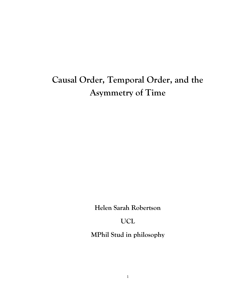# **Causal Order, Temporal Order, and the Asymmetry of Time**

**Helen Sarah Robertson**

**UCL**

**MPhil Stud in philosophy**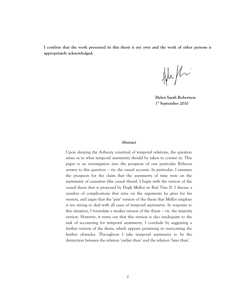**I confirm that the work presented in this thesis is my own and the work of other persons is appropriately acknowledged.**

 $\frac{1}{2}$ 

**Helen Sarah Robertson 1 st September 2010**

#### **Abstract**

Upon denying the A-theory construal of temporal relations, the question arises as to what temporal asymmetry should be taken to consist in. This paper is an investigation into the prospects of one particular B-theory answer to this question – viz. the causal account. In particular, I examine the prospects for the claim that the asymmetry of time rests on the asymmetry of causation (the causal thesis). I begin with the version of the causal thesis that is proposed by Hugh Mellor in *Real Time II*. I discuss a number of complications that arise on the arguments he gives for his version, and argue that the 'pair' version of the thesis that Mellor employs is too strong to deal with all cases of temporal asymmetry. In response to this situation, I formulate a weaker version of the thesis – viz. the majority version. However, it turns out that this version is also inadequate to the task of accounting for temporal asymmetry. I conclude by suggesting a further version of the thesis, which appears promising in overcoming the further obstacles. Throughout I take temporal asymmetry to be the distinction between the relation 'earlier than' and the relation 'later than'.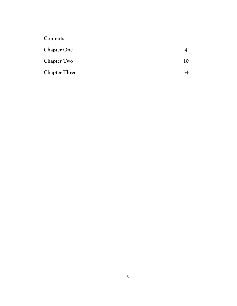| Contents             |    |
|----------------------|----|
| <b>Chapter One</b>   |    |
| <b>Chapter Two</b>   | 10 |
| <b>Chapter Three</b> | 34 |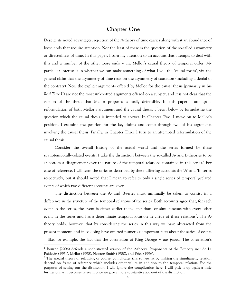#### **Chapter One**

Despite its noted advantages, rejection of the A-theory of time carries along with it an abundance of loose ends that require attention. Not the least of these is the question of the so-called asymmetry or directedness of time. In this paper, I turn my attention to an account that attempts to deal with this and a number of the other loose ends – viz. Mellor's causal theory of temporal order. My particular interest is in whether we can make something of what I will the 'causal thesis', viz. the general claim that the asymmetry of time rests on the asymmetry of causation (including a denial of the contrary). Now the explicit arguments offered by Mellor for the causal thesis (primarily in his *Real Time II*) are not the most unknotted arguments offered on a subject, and it is not clear that the version of the thesis that Mellor proposes is easily defensible. In this paper I attempt a reformulation of both Mellor's argument and the causal thesis. I begin below by formulating the question which the causal thesis is intended to answer. In Chapter Two, I move on to Mellor's position. I examine the position for the key claims and comb through two of his arguments involving the causal thesis. Finally, in Chapter Three I turn to an attempted reformulation of the causal thesis.

Consider the overall history of the actual world and the series formed by these spatiotemporally-related events. I take the distinction between the so-called A- and B-theories to be at bottom a disagreement over the nature of the temporal relations contained in this series. 1 For ease of reference, I will term the series as described by these differing accounts the 'A' and 'B' series respectively, but it should noted that I mean to refer to only a single series of temporally-related events of which two different accounts are given.

The distinction between the A- and B-series must minimally be taken to consist in a difference in the structure of the temporal relations of the series. Both accounts agree that, for each event in the series, the event is either earlier than, later than, or simultaneous with every other event in the series and has a determinate temporal location in virtue of these relations<sup>2</sup>. The Atheory holds, however, that by considering the series in this way we have abstracted from the present moment, and in so doing have omitted numerous important facts about the series of events – like, for example, the fact that the coronation of King George V *has passed*. The coronation's

<sup>1</sup> Bourne (2006) defends a sophisticated version of the A-theory. Proponents of the B-theory include Le Poidevin (1991), Mellor (1998), Newton-Smith (1980), and Price (1996).

<sup>&</sup>lt;sup>2</sup> The special theory of relativity, of course, complicates this somewhat by making the simultaneity relation depend on frame of reference which includes other values in addition to the temporal relation. For the purposes of setting out the distinction, I will ignore the complication here. I will pick it up again a little further on, as it becomes relevant once we give a more substantive account of the distinction.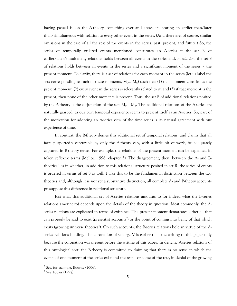having passed is, on the A-theory, something over and above its bearing an earlier than/later than/simultaneous with relation to every other event in the series. (And there are, of course, similar omissions in the case of all the rest of the events in the series, past, present, and future.) So, the series of temporally ordered events mentioned constitutes an A-series if the set R of earlier/later/simultaneity relations holds between all events in the series and, *in addition*, the set S of relations holds between all events in the series and a significant moment of the series – the present moment. To clarify, there is a set of relations for each moment in the series (let us label the sets corresponding to each of these moments,  $M_0... M_n$ ) such that (1) that moment constitutes the present moment, (2) every event in the series is relevantly related to it, and (3) if that moment is the present, then none of the other moments is present. Thus, the set S of additional relations posited by the A-theory is the disjunction of the sets  $M_0... M_n$ . The additional relations of the A-series are naturally grasped, as our own temporal experience seems to present itself as an A-series. So, part of the motivation for adopting an A-series view of the time series is its natural agreement with our experience of time.

In contrast, the B-theory denies this additional set of temporal relations, and claims that all facts purportedly capturable by only the A-theory can, with a little bit of work, be adequately captured in B-theory terms. For example, the relations of the present moment can be explained in token reflexive terms (Mellor, 1998, chapter 3). The disagreement, then, between the A- and Btheories lies in whether, in addition to this relational structure posited in set R, the series of events is ordered in terms of set S as well. I take this to be the fundamental distinction between the two theories and, although it is not yet a substantive distinction, all complete A- and B-theory accounts presuppose this difference in relational structure.

Just what this additional set of A-series relations amounts to (or indeed what the B-series relations amount to) depends upon the details of the theory in question. Most commonly, the Aseries relations are explicated in terms of existence. The present moment demarcates either all that can properly be said to exist (presentist accounts<sup>3</sup>) or the point of coming into being of that which exists (growing universe theories<sup>4</sup>). On such accounts, the B-series relations hold in virtue of the Aseries relations holding. The coronation of George V is earlier than the writing of this paper only because the coronation was present before the writing of this paper. In denying A-series relations of this ontological sort, the B-theory is committed to claiming that there is no sense in which the events of one moment of the series exist and the rest – or some of the rest, in denial of the growing

<sup>&</sup>lt;sup>3</sup> See, for example, Bourne (2006).

<sup>4</sup> See Tooley (1997).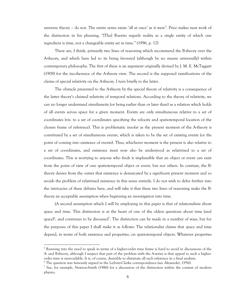universe theory - do not. The entire series exists 'all at once' as it were<sup>5</sup>. Price makes neat work of the distinction in his phrasing, "[The] B-series regards reality as a single entity of which one ingredient is time, not a changeable entity set in time." (1996, p. 12)

There are, I think, primarily two lines of reasoning which recommend the B-theory over the A-theory, and which have led to its being favoured (although by no means universally) within contemporary philosophy. The first of these is an argument originally devised by J. M. E. McTaggart (1908) for the incoherence of the A-theory view. The second is the supposed ramifications of the claims of special relativity on the A-theory. I turn briefly to the latter.

The obstacle presented to the A-theory by the special theory of relativity is a consequence of the latter theory's claimed relativity of temporal relations. According to the theory of relativity, we can no longer understand simultaneity (or being earlier than or later than) as a relation which holds of all events across space for a given moment. Events are only simultaneous relative to a set of coordinates (viz. to a set of coordinates specifying the velocity and spatiotemporal location of the chosen frame of reference). This is problematic insofar as the present moment of the A-theory is constituted by a set of simultaneous events, which is taken to be the set of existing events (or the point of coming into existence of events). Thus, whichever moment is the present is also relative to a set of coordinates, and existence must now also be understood as relativised to a set of coordinates. This is worrying to anyone who finds it implausible that an object or event can exist from the point of view of one spatiotemporal object or event, but not others. In contrast, the Btheory denies from the outset that existence is demarcated by a significant present moment and so avoids the problem of relativised existence in this sense entirely. I do not wish to delve further into the intricacies of these debates here, and will take it that these two lines of reasoning make the Btheory an acceptable assumption when beginning an investigation into time.

(A second assumption which I will be employing in this paper is that of relationalism about space and time. This distinction is at the heart of one of the oldest questions about time (and space)<sup>6</sup>, and continues to be discussed<sup>7</sup>. The distinction can be made in a number of ways, but for the purposes of this paper I shall make it as follows: The relationalist claims that space and time depend, in terms of both existence and properties, on spatiotemporal objects. Whatever properties

<sup>&</sup>lt;sup>5</sup> Running into the need to speak in terms of a higher-order time frame is hard to avoid in discussions of the A- and B-theory, although I suspect that part of the problem with the A-series is that appeal to such a higherorder time is unavoidable. It is, of course, desirable to eliminate all such reference in a final analysis.

<sup>6</sup> The question was famously argued in the Leibniz-Clarke correspondence (see Alexander, 1956).

<sup>&</sup>lt;sup>7</sup> See, for example, Newton-Smith (1986) for a discussion of the distinction within the context of modern physics.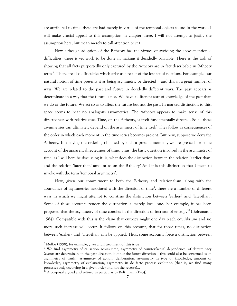are attributed to time, these are had merely in virtue of the temporal objects found in the world. I will make crucial appeal to this assumption in chapter three. I will not attempt to justify the assumption here, but mean merely to call attention to it.)

Now although adoption of the B-theory has the virtues of avoiding the above-mentioned difficulties, there is yet work to be done in making it decidedly palatable. There is the task of showing that all facts purportedly only captured by the A-theory are in fact describable in B-theory terms<sup>8</sup>. There are also difficulties which arise as a result of the lost set of relations. For example, our natural notion of time presents it as being asymmetric or directed – and this in a great number of ways. We are related to the past and future in decidedly different ways. The past appears as determinate in a way that the future is not. We have a different sort of knowledge of the past than we do of the future. We act so as to affect the future but not the past. In marked distinction to this, space seems to bear no analogous asymmetries. The A-theory appears to make sense of this directedness with relative ease. Time, on the A-theory, is itself fundamentally directed. So all these asymmetries can ultimately depend on the asymmetry of time itself. They follow as consequences of the order in which each moment in the time series becomes present. But now, suppose we deny the A-theory. In denying the ordering obtained by such a present moment, we are pressed for some account of the apparent directedness of time. Thus, the basic question involved in the asymmetry of time, as I will here be discussing it, is, what does the distinction between the relation 'earlier than' and the relation 'later than' amount to on the B-theory? And it is this distinction that I mean to invoke with the term 'temporal asymmetry'.

Now, given our commitment to both the B-theory and relationalism, along with the abundance of asymmetries associated with the direction of time<sup>9</sup>, there are a number of different ways in which we might attempt to construe the distinction between 'earlier-' and 'later-than'. Some of these accounts render the distinction a merely local one. For example, it has been proposed that the asymmetry of time consists in the direction of increase of entropy<sup>10</sup> (Boltzmann, 1964). Compatible with this is the claim that entropy might one day reach equilibrium and no more such increase will occur. It follows on this account, that for those times, no distinction between 'earlier-' and 'later-than' can be applied. Thus, some accounts force a distinction between

<sup>&</sup>lt;sup>8</sup> Mellor (1998), for example, gives a full treatment of this issue.

<sup>&</sup>lt;sup>9</sup> We find asymmetry of causation across time, asymmetry of counterfactual dependence, of determinacy (events are determinate in the past direction, but not the future direction – this could also be construed as an asymmetry of truth), asymmetry of action, deliberation, asymmetry in type of knowledge, amount of knowledge, asymmetry of explanation, asymmetry in de facto process evolution (that is, we find many processes only occurring in a given order and not the reverse)...

<sup>10</sup> A proposal argued and refined in particular by Boltzmann (1964)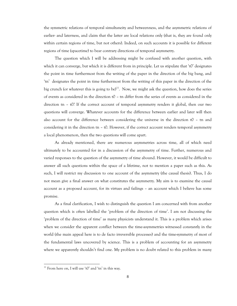the symmetric relations of temporal simultaneity and betweenness, and the asymmetric relations of earlier- and laterness, and claim that the latter are local relations only (that is, they are found only within certain regions of time, but not others). Indeed, on such accounts it is possible for different regions of time (spacetime) to bear contrary directions of temporal asymmetry.

The question which I will be addressing might be confused with another question, with which it can converge, but which it is different from in principle. Let us stipulate that  $t_0$  designates the point in time furthermost from the writing of the paper in the direction of the big bang, and ‗tn' designates the point in time furthermost from the writing of this paper in the direction of the big crunch (or whatever this is going to be)<sup>11</sup>. Now, we might ask the question, how does the series of events as considered in the direction  $t0 - t$ n differ from the series of events as considered in the direction tn – t0? If the correct account of temporal asymmetry renders it global, then our two questions will converge. Whatever accounts for the difference between earlier and later will then also account for the difference between considering the universe in the direction  $t0 - t$ n and considering it in the direction tn  $-$  t0. However, if the correct account renders temporal asymmetry a local phenomenon, then the two questions will come apart.

As already mentioned, there are numerous asymmetries across time, all of which need ultimately to be accounted for in a discussion of the asymmetry of time. Further, numerous and varied responses to the question of the asymmetry of time abound. However, it would be difficult to answer all such questions within the space of a lifetime, not to mention a paper such as this. As such, I will restrict my discussion to one account of the asymmetry (the causal thesis). Thus, I do not mean give a final answer on what constitutes the asymmetry. My aim is to examine the causal account as a proposed account, for its virtues and failings – an account which I believe has some promise.

As a final clarification, I wish to distinguish the question I am concerned with from another question which is often labelled the 'problem of the direction of time'. I am not discussing the ‗problem of the direction of time' as many physicists understand it. This is a problem which arises when we consider the apparent conflict between the time-asymmetries witnessed constantly in the world (the main appeal here is to de facto irreversible processes) and the time-symmetry of most of the fundamental laws uncovered by science. This is a problem of accounting for an asymmetry where we apparently shouldn't find one. My problem is no doubt related to this problem in many

<sup>&</sup>lt;sup>11</sup> From here on, I will use 'tO' and 'tn' in this way.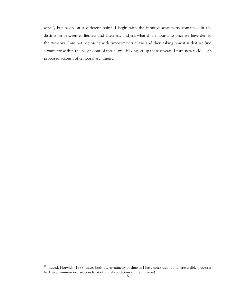ways<sup>12</sup>, but begins at a different point. I begin with the intuitive asymmetry contained in the distinction between earlierness and laterness, and ask what this amounts to once we have denied the A-theory. I am not beginning with time-symmetric laws and then asking how it is that we find asymmetry within the playing out of those laws. Having set up these caveats, I turn now to Mellor's proposed account of temporal asymmetry.

 $12$  Indeed, Horwich (1987) traces both the asymmetry of time as I have construed it and irreversible processes back to a common explanation (that of initial conditions of the universe).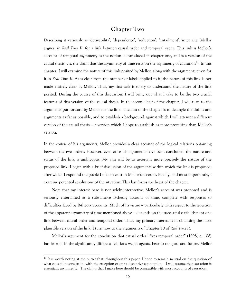### **Chapter Two**

Describing it variously as 'derivability', 'dependence', 'reduction', 'entailment', inter alia, Mellor argues, in *Real Time II*, for a link between causal order and temporal order. This link is Mellor's account of temporal asymmetry as the notion is introduced in chapter one, and is a version of the causal thesis, viz. the claim that the asymmetry of time rests on the asymmetry of causation<sup>13</sup>. In this chapter, I will examine the nature of this link posited by Mellor, along with the arguments given for it in *Real Time II*. As is clear from the number of labels applied to it, the nature of this link is not made entirely clear by Mellor. Thus, my first task is to try to understand the nature of the link posited. During the course of this discussion, I will bring out what I take to be the two crucial features of this version of the causal thesis. In the second half of the chapter, I will turn to the arguments put forward by Mellor for the link. The aim of the chapter is to detangle the claims and arguments as far as possible, and to establish a background against which I will attempt a different version of the causal thesis – a version which I hope to establish as more promising than Mellor's version.

In the course of his arguments, Mellor provides a clear account of the logical relations obtaining between the two orders. However, even once his arguments have been concluded, the nature and status of the link is ambiguous. My aim will be to ascertain more precisely the nature of the proposed link. I begin with a brief discussion of the arguments within which the link is proposed, after which I expound the puzzle I take to exist in Mellor's account. Finally, and most importantly, I examine potential resolutions of the situation. This last forms the heart of the chapter.

Note that my interest here is not solely interpretive. Mellor's account was proposed and is seriously entertained as a substantive B-theory account of time, complete with responses to difficulties faced by B-theory accounts. Much of its virtue – particularly with respect to the question of the apparent asymmetry of time mentioned above – depends on the successful establishment of a link between causal order and temporal order. Thus, my primary interest is in obtaining the most plausible version of the link. I turn now to the arguments of Chapter 10 of *Real Time II*.

Mellor's argument for the conclusion that causal order "fixes temporal order" (1998, p. 108) has its root in the significantly different relations we, as agents, bear to our past and future. Mellor

<sup>&</sup>lt;sup>13</sup> It is worth noting at the outset that, throughout this paper, I hope to remain neutral on the question of what causation consists in, with the exception of one substantive assumption – I will assume that causation is essentially asymmetric. The claims that I make here should be compatible with most accounts of causation.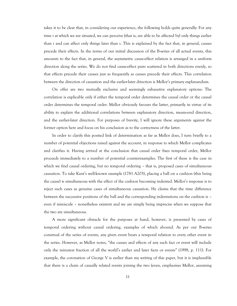takes it to be clear that, in considering our experience, the following holds quite generally: For any time *t* at which we are situated, we can perceive (that is, are able to be affected by) only things earlier than *t* and can affect only things later than *t*. This is explained by the fact that, in general, causes precede their effects. In the terms of our initial discussion of the B-series of all actual events, this amounts to the fact that, in general, the asymmetric cause-effect relation is arranged in a uniform direction along the series. We do not find cause-effect pairs scattered in both directions evenly, so that effects precede their causes just as frequently as causes precede their effects. This correlation between the direction of causation and the earlier-later direction is Mellor's primary explanandum.

On offer are two mutually exclusive and seemingly exhaustive explanatory options: The correlation is explicable only if either the temporal order determines the causal order or the causal order determines the temporal order. Mellor obviously favours the latter, primarily in virtue of its ability to explain the additional correlations between explanatory direction, means-end direction, and the earlier-later direction. For purposes of brevity, I will ignore these arguments against the former option here and focus on his conclusion as to the correctness of the latter.

In order to clarify this posited link of determination as far as Mellor does, I turn briefly to a number of potential objections raised against the account, in response to which Mellor complicates and clarifies it. Having arrived at the conclusion that causal order fixes temporal order, Mellor proceeds immediately to a number of potential counterexamples. The first of these is the case in which we find causal ordering, but no temporal ordering – that is, proposed cases of simultaneous causation. To take Kant's well-known example (1781 A203), placing a ball on a cushion (this being the cause) is simultaneous with the effect of the cushion becoming indented. Mellor's response is to reject such cases as genuine cases of simultaneous causation. He claims that the time difference between the successive positions of the ball and the corresponding indentations on the cushion is – even if miniscule – nonetheless existent and we are simply being imprecise when we suppose that the two are simultaneous.

A more significant obstacle for the purposes at hand, however, is presented by cases of temporal ordering without causal ordering, examples of which abound. As per our B-series construal of the series of events, any given event bears a temporal relation to every other event in the series. However, as Mellor notes, "the causes and effects of any such fact or event will include only the minutest fraction of all the world's earlier and later facts or events‖ (1998, p. 111). For example, the coronation of George V is earlier than my writing of this paper, but it is implausible that there is a chain of causally related events joining the two (even, emphasises Mellor, assuming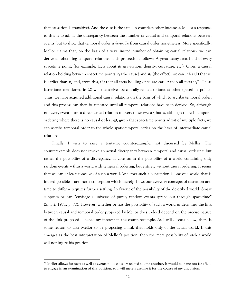that causation is transitive). And the case is the same in countless other instances. Mellor's response to this is to admit the discrepancy between the number of causal and temporal relations between events, but to show that temporal order is *derivable* from causal order nonetheless. More specifically, Mellor claims that, on the basis of a very limited number of obtaining causal relations, we can derive all obtaining temporal relations. This proceeds as follows: A great many facts hold of every spacetime point, (for example, facts about its gravitation, density, curvature, etc.). Given a causal relation holding between spacetime points  $st_1$  (the cause) and  $st_2$  (the effect), we can infer (1) that  $st_1$ is earlier than  $st_2$  and, from this, (2) that all facts holding of  $st_1$  are earlier than all facts  $st_2$ <sup>14</sup>. These latter facts mentioned in (2) will themselves be causally related to facts at other spacetime points. Thus, we have acquired additional causal relations on the basis of which to ascribe temporal order, and this process can then be repeated until all temporal relations have been derived. So, although not every event bears a direct causal relation to every other event (that is, although there is temporal ordering where there is no causal ordering), given that spacetime points admit of multiple facts, we can ascribe temporal order to the whole spatiotemporal series on the basis of intermediate causal relations.

Finally, I wish to raise a tentative counterexample, not discussed by Mellor. The counterexample does not invoke an actual discrepancy between temporal and causal ordering, but rather the possibility of a discrepancy. It consists in the possibility of a world containing only random events – thus a world with temporal ordering, but entirely without causal ordering. It seems that we can at least conceive of such a world. Whether such a conception is one of a world that is indeed possible – and not a conception which merely shows our everyday concepts of causation and time to differ – requires further settling. In favour of the possibility of the described world, Smart supposes he can "envisage a universe of purely random events spread out through space-time" (Smart, 1971, p. 70). However, whether or not the possibility of such a world undermines the link between causal and temporal order proposed by Mellor does indeed depend on the precise nature of the link proposed – hence my interest in the counterexample. As I will discuss below, there is some reason to take Mellor to be proposing a link that holds only of the actual world. If this emerges as the best interpretation of Mellor's position, then the mere possibility of such a world will not injure his position.

<sup>&</sup>lt;sup>14</sup> Mellor allows for facts as well as events to be causally related to one another. It would take me too far afield to engage in an examination of this position, so I will merely assume it for the course of my discussion.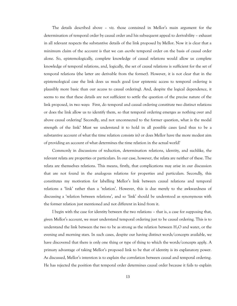The details described above – viz. those contained in Mellor's main argument for the determination of temporal order by causal order and his subsequent appeal to derivability – exhaust in all relevant respects the substantive details of the link proposed by Mellor. Now it is clear that a minimum claim of the account is that we can *ascribe* temporal order on the basis of causal order alone. So, epistemologically, complete knowledge of causal relations would allow us complete knowledge of temporal relations, and, logically, the set of causal relations is sufficient for the set of temporal relations (the latter are derivable from the former). However, it is not clear that in the epistemological case the link does us much good (our epistemic access to temporal ordering is plausibly more basic than our access to causal ordering). And, despite the logical dependence, it seems to me that these details are not sufficient to settle the question of the precise nature of the link proposed, in two ways: First, do temporal and causal ordering constitute two distinct relations or does the link allow us to identify them, so that temporal ordering emerges as nothing over and above causal ordering? Secondly, and not unconnected to the former question, what is the modal strength of the link? Must we understand it to hold in all possible cases (and thus to be a substantive account of what the time relation consists in) or does Mellor have the more modest aim of providing an account of what determines the time relation in the actual world?

Commonly in discussions of reduction, determination relations, identity, and suchlike, the relevant relata are properties or particulars. In our case, however, the relata are neither of these. The relata are themselves relations. This means, firstly, that complications may arise in our discussion that are not found in the analogous relations for properties and particulars. Secondly, this constitutes my motivation for labelling Mellor's link between causal relations and temporal relations a 'link' rather than a 'relation'. However, this is due merely to the awkwardness of discussing a 'relation between relations', and so 'link' should be understood as synonymous with the former relation just mentioned and not different in kind from it.

I begin with the case for identity between the two relations – that is, a case for supposing that, given Mellor's account, we must understand temporal ordering just to be causal ordering. This is to understand the link between the two to be as strong as the relation between  $H_2O$  and water, or the evening and morning stars. In such cases, despite our having distinct words/concepts available, we have discovered that there is only one thing or type of thing to which the words/concepts apply. A primary advantage of taking Mellor's proposed link to be that of identity is its explanatory power. As discussed, Mellor's intention is to explain the correlation between causal and temporal ordering. He has rejected the position that temporal order determines causal order because it fails to explain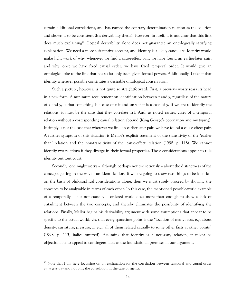certain additional correlations, and has named the contrary determination relation as the solution and shown it to be consistent (his derivability thesis). However, in itself, it is not clear that this link does much explaining<sup>15</sup>. Logical derivability alone does not guarantee an ontologically satisfying explanation. We need a more substantive account, and identity is a likely candidate. Identity would make light work of why, whenever we find a cause-effect pair, we have found an earlier-later pair, and why, once we have fixed causal order, we have fixed temporal order. It would give an ontological bite to the link that has so far only been given formal powers. Additionally, I take it that identity wherever possible constitutes a desirable ontological conservatism.

Such a picture, however, is not quite so straightforward: First, a previous worry rears its head in a new form. A minimum requirement on identification between *x* and *y*, regardless of the nature of *x* and *y*, is that something is a case of *x* if and only if it is a case of *y*. If we are to identify the relations, it must be the case that they correlate 1:1. And, as noted earlier, cases of a temporal relation without a corresponding causal relation abound (King George's coronation and my typing). It simply is not the case that wherever we find an earlier-later pair, we have found a cause-effect pair. A further symptom of this situation is Mellor's explicit statement of the transitivity of the 'earlier than' relation and the non-transitivity of the 'cause-effect' relation (1998, p. 118). We cannot identify two relations if they diverge in their formal properties. These considerations appear to rule identity out tout court.

Secondly, one might worry – although perhaps not too seriously – about the distinctness of the concepts getting in the way of an identification. If we are going to show two things to be identical on the basis of philosophical considerations alone, then we must surely proceed by showing the concepts to be analysable in terms of each other. In this case, the mentioned possible-world example of a temporally – but not causally – ordered world does more than enough to show a lack of entailment between the two concepts, and thereby eliminates the possibility of identifying the relations. Finally, Mellor begins his derivability argument with some assumptions that appear to be specific to the actual world, viz. that every spacetime point is the "location of many facts, e.g. about density, curvature, pressure, ... etc., all of them related causally to some other facts at other points" (1998, p. 113, italics omitted). Assuming that identity is a necessary relation, it might be objectionable to appeal to contingent facts as the foundational premises in our argument.

<sup>&</sup>lt;sup>15</sup> Note that I am here focussing on an explanation for the correlation between temporal and causal order *quite generally* and not only the correlation in the case of agents.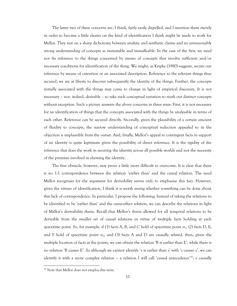The latter two of these concerns are, I think, fairly easily dispelled, and I mention them merely in order to become a little clearer on the kind of identification I think might be made to work for Mellor. They rest on a sharp dichotomy between analytic and synthetic claims and an unreasonably strong understanding of concepts as immutable and immalleable. In the case of the first, we need not fix reference to the things concerned by means of concepts that involve sufficient and/or necessary conditions for identification of the thing. We might, as Kripke (1980) suggests, secure our reference by means of ostention or an associated description. Reference to the relevant things thus secured, we are at liberty to discover subsequently the identity of the things. Further, the concepts initially associated with the things may come to change in light of empirical discovery. It is not necessary – nor, indeed, desirable – to take such conceptual variation to mark out distinct concepts without exception. Such a picture answers the above concerns in three ways: First, it is not necessary for an identification of things that the concepts associated with the things be analysable in terms of each other. Reference can be secured directly. Secondly, given the plausibility of a certain amount of fluidity to concepts, the narrow understanding of conceptual reduction appealed to in the objection is implausible from the outset. And, finally, Mellor's appeal to contingent facts in support of an identity is quite legitimate given the possibility of direct reference. It is the rigidity of the reference that does the work in securing the identity across all possible worlds and not the necessity of the premises involved in showing the identity.

The first obstacle, however, may prove a little more difficult to overcome. It is clear that there is no 1:1 correspondence between the relation ‗earlier than' and the causal relation. The need Mellor recognises for the argument for derivability serves only to emphasise this fact. However, given the virtues of identification, I think it is worth seeing whether something can be done about this lack of correspondence. In particular, I propose the following: Instead of taking the relations to be identified to be ‗earlier than' and the cause-effect relation, we can describe the relations in light of Mellor's derivability thesis. Recall that Mellor's thesis allowed for all temporal relations to be derivable from the smaller set of causal relations in virtue of multiple facts holding at each spacetime point. So, for example, if (1) facts A, B, and C hold of spacetime point *st1*, (2) facts D, E, and F hold of spacetime point *st2*, and (3) facts A and D are causally related, then, given the multiple location of facts at the points, we can obtain the relation  $B$  is earlier than E', while there is no relation ‗B causes E'. So although we cannot identify ‗*x* is earlier than *y*' with ‗*x* causes *y*', we can identify it with a more complex relation - a relation I will call 'causal antecedence'<sup>16</sup>: *x* causally

<sup>&</sup>lt;sup>16</sup> Note that Mellor does not employ this term.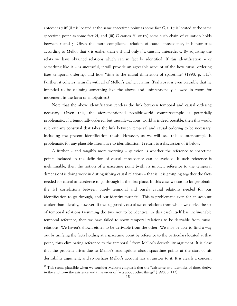antecedes *y* iff (i) *x* is located at the same spacetime point as some fact *G*, (ii) *y* is located at the same spacetime point as some fact *H*, and (iii) *G* causes *H*, or (iv) some such chain of causation holds between *x* and *y*. Given the more complicated relation of causal antecedence, it is now true according to Mellor that *x* is earlier than *y* if and only if *x* causally antecedes *y*. By adjusting the relata we have obtained relations which can in fact be identified. If this identification – or something like it – is successful, it will provide an agreeable account of the how causal ordering fixes temporal ordering, and how "time is the causal dimension of spacetime" (1998. p. 115). Further, it coheres naturally with all of Mellor's explicit claims. (Perhaps it is even plausible that he intended to be claiming something like the above, and unintentionally allowed in room for movement in the form of ambiguities.)

Note that the above identification renders the link between temporal and causal ordering necessary. Given this, the afore-mentioned possible-world counterexample is potentially problematic. If a temporally-ordered, but causally-vacuous, world is indeed possible, then this would rule out any construal that takes the link between temporal and causal ordering to be necessary, including the present identification thesis. However, as we will see, this counterexample is problematic for any plausible alternative to identification. I return to a discussion of it below.

A further – and tangibly more worrying – question is whether the reference to spacetime points included in the definition of causal antecedence can be avoided. If such reference is ineliminable, then the notion of a spacetime point (with its implicit reference to the temporal dimension) is doing work in distinguishing causal relations – that is, it is grouping together the facts needed for causal antecedence to go through in the first place. In this case, we can no longer obtain the 1:1 correlations between purely temporal and purely causal relations needed for our identification to go through, and our identity must fail. This is problematic even for an account weaker than identity, however. If the supposedly causal set of relations from which we derive the set of temporal relations (assuming the two not to be identical in this case) itself has ineliminable temporal reference, then we have failed to show temporal relations to be derivable from causal relations. We haven't shown either to be derivable from the other! We may be able to find a way out by unifying the facts holding at a spacetime point by reference to the particulars located at that point, thus eliminating reference to the temporal<sup>17</sup> from Mellor's derivability argument. It is clear that the problem arises due to Mellor's assumptions about spacetime points at the start of his derivability argument, and so perhaps Mellor's account has an answer to it. It is clearly a concern

 $17$  This seems plausible when we consider Mellor's emphasis that the "existence and identities of times derive in the end from the existence and time order of facts about other things" (1998, p. 113).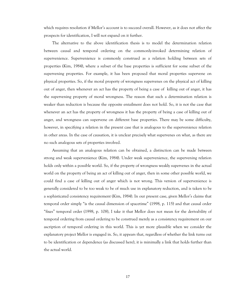which requires resolution if Mellor's account is to succeed overall. However, as it does not affect the prospects for identification, I will not expand on it further.

The alternative to the above identification thesis is to model the determination relation between causal and temporal ordering on the commonly-invoked determining relation of supervenience. Supervenience is commonly construed as a relation holding between sets of properties (Kim, 1984), where a subset of the base properties is sufficient for some subset of the supervening properties. For example, it has been proposed that moral properties supervene on physical properties. So, if the moral property of wrongness supervenes on the physical act of killing out of anger, then whenever an act has the property of being a case of killing out of anger, it has the supervening property of moral wrongness. The reason that such a determination relation is weaker than reduction is because the opposite entailment does not hold. So, it is not the case that whenever an act has the property of wrongness it has the property of being a case of killing out of anger, and wrongness can supervene on different base properties. There may be some difficulty, however, in specifying a relation in the present case that is analogous to the supervenience relation in other areas. In the case of causation, it is unclear precisely what supervenes on what, as there are no such analogous sets of properties involved.

Assuming that an analogous relation can be obtained, a distinction can be made between strong and weak supervenience (Kim, 1984). Under weak supervenience, the supervening relation holds only within a possible world. So, if the property of wrongness weakly supervenes in the actual world on the property of being an act of killing out of anger, then in some other possible world, we could find a case of killing out of anger which is not wrong. This version of supervenience is generally considered to be too weak to be of much use in explanatory reduction, and is taken to be a sophisticated consistency requirement (Kim, 1984). In our present case, given Mellor's claims that temporal order simply "is the causal dimension of spacetime" (1998, p. 115) and that causal order ―fixes‖ temporal order (1998, p. 108), I take it that Mellor does not mean for the derivability of temporal ordering from causal ordering to be construed merely as a consistency requirement on our ascription of temporal ordering in this world. This is yet more plausible when we consider the explanatory project Mellor is engaged in. So, it appears that, regardless of whether the link turns out to be identification or dependence (as discussed here), it is minimally a link that holds further than the actual world.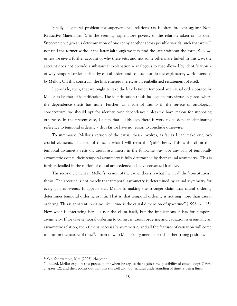Finally, a general problem for supervenience relations (as is often brought against Non-Reductive Materialism<sup>18</sup>), is the seeming explanatory poverty of the relation taken on its own. Supervenience gives us determination of one set by another across possible worlds, such that we will not find the former without the latter (although we may find the latter without the former). Now, unless we give a further account of why these sets, and not some others, are linked in this way, the account does not provide a substantial explanation – analogous to that allowed by identification – of why temporal order is fixed by causal order, and so does not do the explanatory work intended by Mellor. On this construal, the link emerges merely as an embellished restatement of itself.

I conclude, then, that we ought to take the link between temporal and causal order posited by Mellor to be that of identification. The identification thesis has explanatory virtue in places where the dependence thesis has none. Further, as a rule of thumb in the service of ontological conservatism, we should opt for identity over dependence unless we have reason for supposing otherwise. In the present case, I claim that – although there is work to be done in eliminating reference to temporal ordering – thus far we have no reason to conclude otherwise.

To summarise, Mellor's version of the causal thesis involves, as far as I can make out, two crucial elements. The first of these is what I will term the ‗pair' thesis. This is the claim that temporal asymmetry rests on causal asymmetry in the following way: For any pair of temporally asymmetric events, their temporal asymmetry is fully determined by their causal asymmetry. This is further detailed in the notion of causal antecedence as I have construed it above.

The second element in Mellor's version of the causal thesis is what I will call the 'constitutivist' thesis. The account is not merely that temporal asymmetry is determined by causal asymmetry for every pair of events. It appears that Mellor is making the stronger claim that causal ordering determines temporal ordering *as such*. That is, that temporal ordering is nothing more than causal ordering. This is apparent in claims like, "time is the causal dimension of spacetime" (1998. p. 115). Now what is interesting here, is not the claim itself, but the implications it has for temporal asymmetry. If we take temporal ordering to consist in causal ordering and causation is essentially an asymmetric relation, then time is necessarily asymmetric, and all the features of causation will come to bear on the nature of time<sup>19</sup>. I turn now to Mellor's arguments for this rather strong position.

<sup>18</sup> See, for example, Kim (2005), chapter 4.

<sup>&</sup>lt;sup>19</sup> Indeed, Mellor exploits this precise point when he argues that against the possibility of causal loops (1998, chapter 12), and then points out that this sits well with our natural understanding of time as being linear.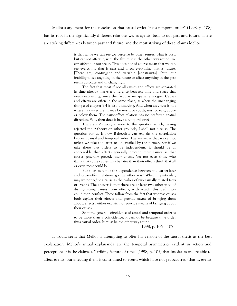Mellor's argument for the conclusion that causal order "fixes temporal order" (1998, p. 108) has its root in the significantly different relations we, as agents, bear to our past and future. There are striking differences between past and future, and the most striking of these, claims Mellor,

> is that while we can see (or perceive by other senses) what is past, but cannot affect it, with the future it is the other way round: we can affect but not see it. This does not of course mean that we can see everything that is past and affect everything that is future. [There are] contingent and variable [constraints], [but] our inability to see anything in the future or affect anything in the past seems absolute and unchanging…

> The fact that most if not all causes and effects are separated in time already marks a difference between time and space that needs explaining, since the fact has no spatial analogue. Causes and effects are often in the same place, as when the unchanging thing *a* of chapter 9.4 is also unmoving. And when an effect is not where its causes are, it may be north or south, west or east, above or below them. The cause-effect relation has no preferred spatial direction. Why then does it have a temporal one?

> There are A-theory answers to this question which, having rejected the A-theory on other grounds, I shall not discuss. The question for us is how B-theorists can explain the correlation between causal and temporal order. The answer is that we cannot unless we take the latter to be entailed by the former. For if we take these two orders to be independent, it should be as conceivable that effects generally precede their causes as that causes generally precede their effects. Yet not even those who think that some causes may be later than their effects think that all or even most could be.

> But then may not the dependence between the earlier-later and cause-effect relations go the other way? Why, in particular, may we not *define* a cause as the earlier of two causally related facts or events? The answer is that there are at least two other ways of distinguishing causes from effects, with which this definition could then conflict. These follow from the fact that whereas causes both *explain* their effects and provide *means* of bringing them about, effects neither explain nor provide means of bringing about their causes…

> So if the general coincidence of causal and temporal order is to be more than a coincidence, it cannot be because time order fixes causal order. It must be the other way round.

> > 1998, p. 106 – 107.

It would seem that Mellor is attempting to offer his version of the causal thesis as the best explanation. Mellor's initial explananda are the temporal asymmetries evident in action and perception: It is, he claims, a "striking feature of time" (1998, p. 105) that insofar as we are able to affect events, our affecting them is constrained to events which have not yet occurred (that is, events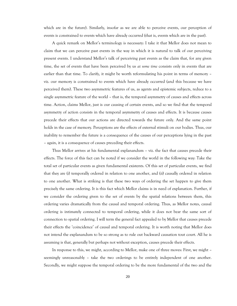which are in the future). Similarly, insofar as we are able to perceive events, our perception of events is constrained to events which have already occurred (that is, events which are in the past).

A quick remark on Mellor's terminology is necessary: I take it that Mellor does not mean to claim that we can perceive past events in the way in which it is natural to talk of our perceiving present events. I understand Mellor's talk of perceiving past events as the claim that, for any given time, the set of events that have been perceived by us *at some time* consists only in events that are earlier than that time. To clarify, it might be worth reformulating his point in terms of memory – viz. our memory is constrained to events which have already occurred (and this because we have perceived them). These two asymmetric features of us, as agents and epistemic subjects, reduce to a single asymmetric feature of the world – that is, the temporal asymmetry of causes and effects across time. Action, claims Mellor, just is our causing of certain events, and so we find that the temporal asymmetry of action consists in the temporal asymmetry of causes and effects. It is because causes precede their effects that our actions are directed towards the future only. And the same point holds in the case of memory. Perceptions are the effects of external stimuli on our bodies. Thus, our inability to remember the future is a consequence of the causes of our perceptions lying in the past – again, it is a consequence of causes preceding their effects.

Thus Mellor arrives at his fundamental explanandum – viz. the fact that causes precede their effects. The force of this fact can be noted if we consider the world in the following way: Take the total set of particular events as given fundamental existents. Of this set of particular events, we find that they are (i) temporally ordered in relation to one another, and (ii) causally ordered in relation to one another. What is striking is that these two ways of ordering the set happen to give them precisely the same ordering. It is this fact which Mellor claims is in need of explanation. Further, if we consider the ordering given to the set of events by the spatial relations between them, this ordering varies dramatically from the causal and temporal ordering. Thus, as Mellor notes, causal ordering is intimately connected to temporal ordering, while it does not bear the same sort of connection to spatial ordering. I will term the general fact appealed to by Mellor that causes precede their effects the 'coincidence' of causal and temporal ordering. It is worth noting that Mellor does not intend the explanandum to be so strong as to rule out backward causation tout court. All he is assuming is that, generally but perhaps not without exception, causes precede their effects.

In response to this, we might, according to Mellor, make one of three moves: First, we might – seemingly unreasonably – take the two orderings to be entirely independent of one another. Secondly, we might suppose the temporal ordering to be the more fundamental of the two and the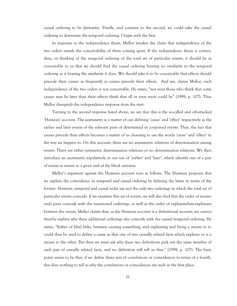causal ordering to be derivative. Finally, and contrary to the second, we could take the causal ordering to determine the temporal ordering. I begin with the first.

In response to the independence thesis, Mellor invokes the claim that independence of the two orders entails the conceivability of them coming apart. If the independence thesis is correct, then, in thinking of the temporal ordering of the total set of particular events, it should be as conceivable to us that we should find the causal ordering bearing no similarity to the temporal ordering as it bearing the similarity it does. We should take it to be conceivable that effects should precede their causes as frequently as causes precede their effects. And yet, claims Mellor, such independence of the two orders is not conceivable. He states, "not even those who think that some causes may be later than their effects think that all or even most could be" (1998, p. 107). Thus Mellor disregards the independence response from the start.

Turning to the second response listed above, we see that this is the so-called and oft-attacked ‗Humean' account. The asymmetry is a matter of our defining ‗cause' and ‗effect' respectively as the earlier and later events of the relevant pairs of determined or conjoined events. Thus, the fact that causes precede their effects becomes a matter of us choosing to use the words ‗cause' and ‗effect' in the way we happen to. On this account, there are no asymmetric relations of determination among events. There are either symmetric determination relations or no determination relations. We then introduce an asymmetry stipulatively in our use of ‗earlier' and ‗later', which identify one of a pair of events as nearer to a given end of the block universe.

Mellor's argument against the Humean account runs as follows. The Humean proposes that we explain the coincidence in temporal and causal ordering by defining the latter in terms of the former. However, temporal and causal order are not the only two orderings in which the total set of particular events coincide. If we examine this set of events, we will also find that the order of meansends pairs coincide with the mentioned orderings, as well as the order of explanandum-explanans between the events. Mellor claims that, as the Humean account is a definitional account, we cannot thereby explain why these additional orderings also coincide with the causal/temporal ordering. He states, "Either of [the] links, between causing something, and explaining and being a means to it, could thus be used to define a cause as that one of two causally related facts which explains or is a means to the other. But then we must ask why these two definitions pick out the same member of each pair of causally related facts, and no definition will tell us that." (1998, p. 107). The basic point seems to be that, if we define three sets of correlations or coincidences in terms of a fourth, this does nothing to tell us why the correlations or coincidences are such in the first place.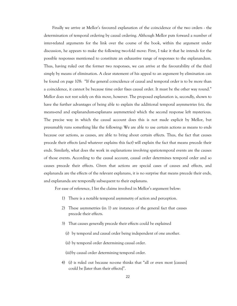Finally we arrive at Mellor's favoured explanation of the coincidence of the two orders - the determination of temporal ordering by causal ordering. Although Mellor puts forward a number of inter-related arguments for the link over the course of the book, within the argument under discussion, he appears to make the following two-fold move: First, I take it that he intends for the possible responses mentioned to constitute an exhaustive range of responses to the explanandum. Thus, having ruled out the former two responses, we can arrive at the favourability of the third simply by means of elimination. A clear statement of his appeal to an argument by elimination can be found on page 108: "If the general coincidence of causal and temporal order is to be more than a coincidence, it cannot be because time order fixes causal order. It must be the other way round." Mellor does not rest solely on this move, however. The proposed explanation is, secondly, shown to have the further advantages of being able to explain the additional temporal asymmetries (viz. the means-end and explanandum-explanans asymmetries) which the second response left mysterious. The precise way in which the causal account does this is not made explicit by Mellor, but presumably runs something like the following: We are able to use certain actions as means to ends because our actions, as causes, are able to bring about certain effects. Thus, the fact that causes precede their effects (and whatever explains this fact) will explain the fact that means precede their ends. Similarly, what does the work in explanations involving spatiotemporal events are the causes of those events. According to the causal account, causal order determines temporal order and so causes precede their effects. Given that actions are special cases of causes and effects, and explananda are the effects of the relevant explanans, it is no surprise that means precede their ends, and explananda are temporally subsequent to their explanans.

For ease of reference, I list the claims involved in Mellor's argument below:

- 1) There is a notable temporal asymmetry of action and perception.
- 2) These asymmetries (in 1) are instances of the general fact that causes precede their effects.
- 3) That causes generally precede their effects could be explained
	- (i) by temporal and causal order being independent of one another.
	- (ii) by temporal order determining causal order.

(iii)by causal order determining temporal order.

4) (i) is ruled out because no-one thinks that "all or even most [causes] could be [later than their effects]".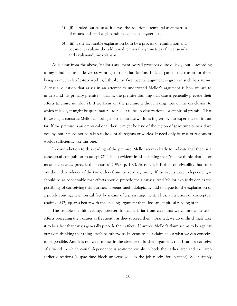- 5) (ii) is ruled out because it leaves the additional temporal asymmetries of means-ends and explanandum-explanans mysterious.
- 6) (iii) is the favourable explanation both by a process of elimination and because it explains the additional temporal asymmetries of means-ends and explanandum-explanans.

As is clear from the above, Mellor's argument overall proceeds quite quickly, but – according to my mind at least – leaves us wanting further clarification. Indeed, part of the reason for there being so much clarificatory work is, I think, the fact that the argument is given in such bare terms. A crucial question that arises in an attempt to understand Mellor's argument is how we are to understand his primary premise – that is, the premise claiming that causes generally precede their effects (premise number 2). If we focus on the premise without taking note of the conclusion to which it leads, it might be quite natural to take it to be an observational or empirical premise. That is, we might construe Mellor as noting a fact about the world as is given by our experience of it thus far. If the premise is an empirical one, then it might be true of the region of spacetime or world we occupy, but it need not be taken to hold of all regions or worlds. It need only be true of regions or worlds sufficiently like this one.

In contradiction to this reading of the premise, Mellor seems clearly to indicate that there is a conceptual compulsion to accept (2). This is evident in his claiming that "no-one thinks that all or most effects *could* precede their causes" (1998, p. 107). As noted, it is this conceivability that rules out the independence of the two orders from the very beginning. If the orders were independent, it should be as conceivable that effects should precede their causes. And Mellor explicitly denies the possibility of conceiving this. Further, it seems methodologically odd to argue for the explanation of a purely contingent empirical fact by means of a priori argument. Thus, an a priori or conceptual reading of (2) squares better with the ensuing argument than does an empirical reading of it.

The trouble on this reading, however, is that it is far from clear that we cannot *conceive* of effects preceding their causes as frequently as they succeed them. Granted, we do unflinchingly take it to be a fact that causes generally precede their effects. However, Mellor's claim seems to be against our even thinking that things *could* be otherwise. It seems to be a claim about what we can conceive to be possible. And it is not clear to me, in the absence of further argument, that I cannot conceive of a world in which causal dependence is scattered evenly in both the earlier-later and the laterearlier directions (a spacetime block universe will do the job nicely, for instance). So it simply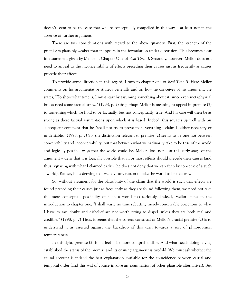doesn't seem to be the case that we are conceptually compelled in this way – at least not in the absence of further argument.

There are two considerations with regard to the above quandry: First, the strength of the premise is plausibly weaker than it appears in the formulation under discussion. This becomes clear in a statement given by Mellor in Chapter One of *Real Time II*. Secondly, however, Mellor does not need to appeal to the inconceivability of effects preceding their causes just as frequently as causes precede their effects.

To provide some direction in this regard, I turn to chapter one of *Real Time II*. Here Mellor comments on his argumentative strategy generally and on how he conceives of his argument. He states, "To show what time is, I must start by assuming something about it, since even metaphysical bricks need some factual straw.‖ (1998, p. 7) So perhaps Mellor is meaning to appeal in premise (2) to something which we hold to be factually, but not conceptually, true. And his case will then be as strong as these factual assumptions upon which it is based. Indeed, this squares up well with his subsequent comment that he "shall not try to prove that everything I claim is either necessary or undeniable.‖ (1998, p. 7) So, the distinction relevant to premise (2) seems to be one not between conceivability and inconceivability, but that between what we ordinarily take to be true of the world and logically possible ways that the world could be. Mellor does not – at this early stage of the argument – deny that it is logically possible that all or most effects should precede their causes (and thus, squaring with what I claimed earlier, he does not deny that we can thereby conceive of a such a world). Rather, he is denying that we have any reason to take the world to be that way.

So, without argument for the plausibility of the claim that the world is such that effects are found preceding their causes just as frequently as they are found following them, we need not take the mere conceptual possibility of such a world too seriously. Indeed, Mellor states in the introduction to chapter one, "I shall waste no time rebutting merely conceivable objections to what I have to say: doubt and disbelief are not worth trying to dispel unless they are both real and credible.‖ (1998, p. 7) Thus, it seems that the correct construal of Mellor's crucial premise (2) is to understand it as asserted against the backdrop of this turn towards a sort of philosophical temperateness.

In this light, premise (2) is – I feel – far more comprehensible. And what needs doing having established the status of the premise and its ensuing argument is twofold: We must ask whether the causal account is indeed the best explanation available for the coincidence between causal and temporal order (and this will of course involve an examination of other plausible alternatives). But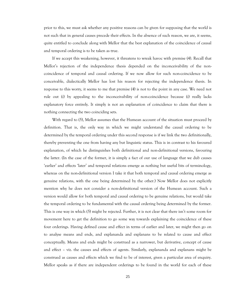prior to this, we must ask whether any positive reasons can be given for supposing that the world is not such that in general causes precede their effects. In the absence of such reason, we are, it seems, quite entitled to conclude along with Mellor that the best explanation of the coincidence of causal and temporal ordering is to be taken as true.

If we accept this weakening, however, it threatens to wreak havoc with premise (4). Recall that Mellor's rejection of the independence thesis depended on the inconceivability of the noncoincidence of temporal and causal ordering. If we now allow for such non-coincidence to be conceivable, dialectically Mellor has lost his reason for rejecting the independence thesis. In response to this worry, it seems to me that premise (4) is not to the point in any case. We need not rule out (i) by appealing to the inconceivability of non-coincidence because (i) really lacks explanatory force entirely. It simply is not an explanation of coincidence to claim that there is nothing connecting the two coinciding sets.

With regard to (5), Mellor assumes that the Humean account of the situation must proceed by definition. That is, the only way in which we might understand the causal ordering to be determined by the temporal ordering under this second response is if we link the two definitionally, thereby preventing the one from having any but linguistic status. This is in contrast to his favoured explanation, of which he distinguishes both definitional and non-definitional versions, favouring the latter. (In the case of the former, it is simply a fact of our use of language that we dub causes ‗earlier' and effects ‗later' and temporal relations emerge as nothing but useful bits of terminology, whereas on the non-definitional version I take it that both temporal and causal ordering emerge as genuine relations, with the one being determined by the other.) Now Mellor does not explicitly mention why he does not consider a non-definitional version of the Humean account. Such a version would allow for both temporal and causal ordering to be genuine relations, but would take the temporal ordering to be fundamental with the causal ordering being determined by the former. This is one way in which (5) might be rejected. Further, it is not clear that there isn't some room for movement here to get the definition to go some way towards explaining the coincidence of these four orderings. Having defined cause and effect in terms of earlier and later, we might then go on to analyse means and ends, and explananda and explanans to be related to cause and effect conceptually. Means and ends might be construed as a narrower, but derivative, concept of cause and effect – viz. the causes and effects of agents. Similarly, explananda and explanans might be construed as causes and effects which we find to be of interest, given a particular area of enquiry. Mellor speaks as if there are independent orderings to be found in the world for each of these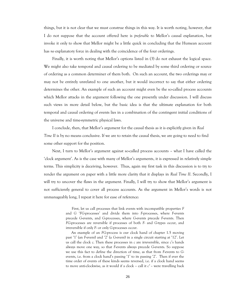things, but it is not clear that we must construe things in this way. It is worth noting, however, that I do not suppose that the account offered here is *preferable* to Mellor's causal explanation, but invoke it only to show that Mellor might be a little quick in concluding that the Humean account has *no* explanatory force in dealing with the coincidence of the four orderings.

Finally, it is worth noting that Mellor's options listed in (3) do not exhaust the logical space. We might also take temporal and causal ordering to be mediated by some third ordering or source of ordering as a common determiner of them both. On such an account, the two orderings may or may not be entirely unrelated to one another, but it would incorrect to say that either ordering determines the other. An example of such an account might even be the so-called process accounts which Mellor attacks in the argument following the one presently under discussion. I will discuss such views in more detail below, but the basic idea is that the ultimate explanation for both temporal and causal ordering of events lies in a combination of the contingent initial conditions of the universe and time-symmetric physical laws.

I conclude, then, that Mellor's argument for the causal thesis as it is explicitly given in *Real Time II* is by no means conclusive. If we are to retain the causal thesis, we are going to need to find some other support for the position.

Next, I turn to Mellor's argument against so-called process accounts – what I have called the ‗clock argument'. As is the case with many of Mellor's arguments, it is expressed in relatively simple terms. This simplicity is deceiving, however. Thus, again my first task in this discussion is to try to render the argument on paper with a little more clarity that it displays in *Real Time II*. Secondly, I will try to uncover the flaws in the argument. Finally, I will try to show that Mellor's argument is not sufficiently general to cover all process accounts. As the argument in Mellor's words is not unmanageably long, I repeat it here for ease of reference:

> First, let us call processes that link events with incompatible properties *F* and *G* ‗*FG*-processes' and divide them into *F*-processes, where *F*-events precede *G*-events, and *G*-processes, where *G*-events precede *F*-events. Then *FG*-processes are reversible if processes of both *F*- and *G*-types occur, and irreversible if only *F*- or only *G*-processes occur.

> An example of an *FG*-process is our clock hand of chapter 1.5 moving past ‗1' (an *F*-event) and ‗2' (a *G*-event) in a single circuit starting at ‗12'. Let us call the clock *c*. Then these processes in *c* are irreversible, since *c*'s hands always move one way, so that *F*-events always precede *G*-events. So suppose we use this fact to define the direction of time, as that from *F*-events to *G*events, i.e. from a clock hand's passing '1' to its passing '2'. Then if ever the time order of events of these kinds seems reversed, i.e. if a clock hand seems to move anti-clockwise, as it would if a clock – call it *c′* – were travelling back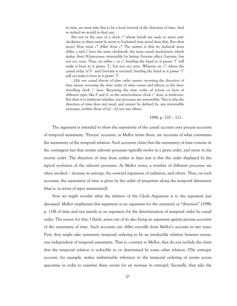in time, we must take this to be a local reversal of the direction of time. And so indeed we would in that case.

But not in the case of a clock *c′′* whose hands are *made* to move anticlockwise: so there must be more to backward time travel than that. But what more? How must *c′′* differ from *c′*? The answer is that its *clockwork* must differ. *c* and *c′* have the same clockwork, the same causal mechanism, which makes their *FG*-processes irreversible by letting *F*-events affect *G*-events, but not *vice versa*. Thus, on either *c* or *c′*, bending the hand as it passes ‗1' will make it bent as it passes ‗2', but not *vice versa*. Whereas on *c′′*, where the causal order of *F*- and *G*-events is reversed, bending the hand as it passes '1' will *not* make it bent as it passes '2'.

…[A]s our causal theory of time order asserts, reversing the direction of time means reversing the time order of *token* causes and effects, as the timetravelling clock *c'* does. Reversing the time order of events or facts of different *types*, like *F* and *G*, as the anti-clockwise clock *c''* does, is irrelevant. But then it is irrelevant whether any processes are irreversible. This is why the direction of time does not need, and cannot be defined by, any irreversible processes, neither those of (a) – (c) nor any others.

1998, p. 
$$
120 - 121
$$
.

The argument is intended to show the superiority of the causal account over process accounts of temporal asymmetry. ‗Process' accounts, as Mellor terms them, are accounts of what constitutes the asymmetry of the temporal relation. Such accounts claim that the asymmetry of time consists in the contingent fact that certain relevant processes typically evolve in a given order, and never in the reverse order. The direction of time from earlier to later just is this the order displayed by the typical evolution of the relevant processes. As Mellor notes, a number of different processes are often invoked – increase in entropy, the outward expansion of radiation, and others. Thus, on such accounts, the asymmetry of time is given by the order of properties along the temporal dimension (that is, in terms of types instantiated).

Now we might wonder what the relation of the Clock Argument is to the argument just discussed. Mellor emphasises this argument as an argument for the *asymmetry* or "direction" (1998, p. 118) of time and not merely as an argument for the determination of temporal order by causal order. The reason for this, I think, arises out of its also being an argument against process accounts of the asymmetry of time. Such accounts can differ crucially from Mellor's account in two ways: First, they might take symmetric temporal ordering to be an irreducible relation between events, one independent of temporal asymmetry. That is, contrary to Mellor, they do not include the claim that the temporal relation is reducible to or determined by some other relation. (The entropic account, for example, makes ineliminable reference to the temporal ordering of events across spacetime in order to examine these events for an increase in entropy). Secondly, they take the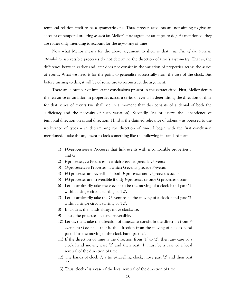temporal relation itself to be a symmetric one. Thus, process accounts are not aiming to give an account of temporal ordering *as such* (as Mellor's first argument attempts to do). As mentioned, they are rather only intending to account for the *asymmetry* of time

Now what Mellor means for the above argument to show is that, *regardless of the processes appealed to*, irreversible processes do not determine the direction of time's asymmetry. That is, the difference between earlier and later does not consist in the variation of properties across the series of events. What we need is for the point to generalise successfully from the case of the clock. But before turning to this, it will be of some use to reconstruct the argument.

There are a number of important conclusions present in the extract cited. First, Mellor denies the relevance of variation in properties across a series of events in determining the direction of time for that series of events (we shall see in a moment that this consists of a denial of both the sufficiency and the necessity of such variation). Secondly, Mellor asserts the dependence of temporal direction on causal direction. Third is the claimed relevance of tokens – as opposed to the irrelevance of types – in determining the direction of time. I begin with the first conclusion mentioned. I take the argument to look something like the following in standard form:

- 1) *FG-processes*<sub>DEF</sub>: Processes that link events with incompatible properties *F* and *G*
- 2) *F*-processes<sub>DEF</sub>: Processes in which *F*-events precede *G*-events
- 3) *G*-processes<sub>DEF</sub>: Processes in which *G*-events precede *F*-events
- 4) *FG*-processes are reversible if both *F*-processes and *G*-processes occur
- 5) *FG*-processes are irreversible if only *F*-processes or only *G*-processes occur
- 6) Let us arbitrarily take the *F*-event to be the moving of a clock hand past ‗1' within a single circuit starting at '12'.
- 7) Let us arbitrarily take the *G*-event to be the moving of a clock hand past ‗2' within a single circuit starting at '12'.
- 8) In clock *c*, the hands always move clockwise.
- 9) Thus, the processes in *c* are irreversible.
- 10) Let us, then, take the direction of time<sub>DEF</sub> to consist in the direction from *F*events to *G*-events – that is, the direction from the moving of a clock hand past ‗1' to the moving of the clock hand past ‗2'.
- 11) If the direction of time is the direction from ‗1' to ‗2', then any case of a clock hand moving past ‗2' and then past ‗1' must be a case of a local reversal of the direction of time.
- 12) The hands of clock *c'*, a time-travelling clock, move past ‗2' and then past  $'1'.$
- 13) Thus, clock *c'* is a case of the local reversal of the direction of time.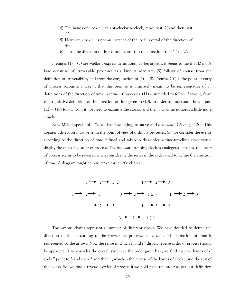- 14) The hands of clock *c''*, an anti-clockwise clock, move past ‗2' and then past  $'1'.$
- 15) However, clock *c''* is not an instance of the local reversal of the direction of time.
- 16) Thus, the direction of time cannot consist in the direction from ‗1' to ‗2'.

Premises (1) – (5) are Mellor's express definitions. To begin with, it seems to me that Mellor's bare construal of irreversible processes as a kind is adequate. (9) follows of course from the definition of irreversibility and from the conjunction of (5) – (8). Premise (10) is the point of entry of process accounts. I take it that this premise is ultimately meant to be representative of all definitions of the direction of time in terms of processes. (11) is intended to follow, I take it, from the stipulative definition of the direction of time given in (10). In order to understand how it and (12) – (16) follow from it, we need to examine the clocks, and their involving notions, a little more closely.

Now Mellor speaks of a "clock hand seem[ing] to move anti-clockwise" (1998, p. 120). This apparent direction must be from the point of view of ordinary processes. So, we consider the events according to the direction of time defined and taken in this order, a time-travelling clock would display the opposing order of process. The backward-running clock is analogous – that is, the order of process seems to be reversed when considering the series in the order used to define the direction of time. A diagram might help to make this a little clearer:



The various chains represent a number of different clocks. We have decided to define the direction of time according to the irreversible processes of clock *c*. The direction of time is represented by the arrows. Now the sense in which *c'* and *c''* display reverse order of process should be apparent. If we consider the overall system in the order given by *c*, we find that the hands of *c'* and *c''* point to 3 and then 2 and then 1, which is the reverse of the hands of clock *c* and the rest of the clocks. So, we find a reversed order of process if we hold fixed the order as per our definition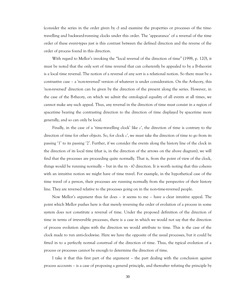(consider the series in the order given by *c*) and examine the properties or processes of the timetravelling and backward-running clocks under this order. The ‗appearance' of a reversal of the time order of these event-types just is this contrast between the defined direction and the reverse of the order of process found in this direction.

With regard to Mellor's invoking the "local reversal of the direction of time" (1998, p. 120), it must be noted that the only sort of time reversal that can coherently be appealed to by a B-theorist is a local time reversal. The notion of a reversal of any sort is a relational notion. So there must be a contrastive case – a 'non-reversed' version of whatever is under consideration. On the A-theory, this 'non-reversed' direction can be given by the direction of the present along the series. However, in the case of the B-theory, on which we admit the ontological equality of all events at all times, we cannot make any such appeal. Thus, any reversal in the direction of time must consist in a region of spacetime bearing the contrasting direction to the direction of time displayed by spacetime more generally, and so can only be local.

Finally, in the case of a 'time-travelling clock' like *c*', the direction of time is contrary to the direction of time for other objects. So, for clock *c'*, we must take the direction of time to go from its passing ‗1' to its passing ‗2'. Further, if we consider the events along the history line of the clock in the direction of its local time (that is, in the direction of the arrows on the above diagram), we will find that the processes are proceeding quite normally. That is, from the point of view of the clock, things would be running normally – but in the tn - t0 direction. It is worth noting that this coheres with an intuitive notion we might have of time travel. For example, in the hypothetical case of the time travel of a person, their processes are running normally from the perspective of their history line. They are reversed relative to the processes going on in the non-time-reversed people.

Now Mellor's argument thus far does – it seems to me – have a clear intuitive appeal. The point which Mellor pushes here is that merely reversing the order of evolution of a process in some system does not constitute a reversal of time. Under the proposed definition of the direction of time in terms of irreversible processes, there is a case in which we would not say that the direction of process evolution aligns with the direction we would attribute to time. This is the case of the clock made to run anti-clockwise. Here we have the opposite of the usual processes, but it could be fitted in to a perfectly normal construal of the direction of time. Thus, the typical evolution of a process or processes cannot be enough to determine the direction of time.

I take it that this first part of the argument – the part dealing with the conclusion against process accounts – is a case of proposing a general principle, and thereafter refuting the principle by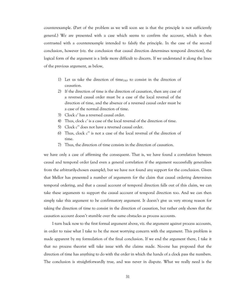counterexample. (Part of the problem as we will soon see is that the principle is not sufficiently general.) We are presented with a case which seems to confirm the account, which is then contrasted with a counterexample intended to falsify the principle. In the case of the second conclusion, however (viz. the conclusion that causal direction determines temporal direction), the logical form of the argument is a little more difficult to discern. If we understand it along the lines of the previous argument, as below,

- 1) Let us take the direction of time $_{DEF}$  to consist in the direction of causation.
- 2) If the direction of time is the direction of causation, then any case of a reversed causal order must be a case of the local reversal of the direction of time, and the absence of a reversed causal order must be a case of the normal direction of time.
- 3) Clock *c'* has a reversed causal order.
- 4) Thus, clock *c'* is a case of the local reversal of the direction of time.
- 5) Clock *c''* does not have a reversed causal order.
- 6) Thus, clock *c''* is not a case of the local reversal of the direction of time.
- 7) Thus, the direction of time consists in the direction of causation.

we have only a case of affirming the consequent. That is, we have found a correlation between causal and temporal order (and even a general correlation if the argument successfully generalises from the arbitrarily-chosen example), but we have not found any support for the conclusion. Given that Mellor has presented a number of arguments for the claim that causal ordering determines temporal ordering, and that a causal account of temporal direction falls out of this claim, we can take these arguments to support the causal account of temporal direction too. And we can then simply take this argument to be confirmatory argument. It doesn't give us very strong reason for taking the direction of time to consist in the direction of causation, but rather only shows that the causation account doesn't stumble over the same obstacles as process accounts.

I turn back now to the first formal argument above, viz. the argument against process accounts, in order to raise what I take to be the most worrying concern with the argument. This problem is made apparent by my formulation of the final conclusion. If we end the argument there, I take it that no process theorist will take issue with the claims made. No-one has proposed that the direction of time has anything to do with the order in which the hands of a clock pass the numbers. The conclusion is straightforwardly true, and was never in dispute. What we really need is the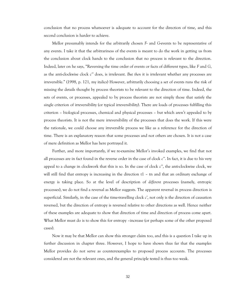conclusion that no process whatsoever is adequate to account for the direction of time, and this second conclusion is harder to achieve.

Mellor presumably intends for the arbitrarily chosen *F*- and *G*-events to be representative of any events. I take it that the arbitrariness of the events is meant to do the work in getting us from the conclusion about clock hands to the conclusion that no process is relevant to the direction. Indeed, later on he says, "Reversing the time order of events or facts of different types, like *F* and *G*, as the anti-clockwise clock *c''* does, is irrelevant. *But then* it is irrelevant whether any processes are irreversible.‖ (1998, p. 121, my italics) However, arbitrarily choosing a set of events runs the risk of missing the details thought by process theorists to be relevant to the direction of time. Indeed, the sets of events, or processes, appealed to by process theorists are not simply those that satisfy the single criterion of irreversibility (or typical irreversibility). There are loads of processes fulfilling this criterion – biological processes, chemical and physical processes – but which aren't appealed to by process theorists. It is not the mere irreversibility of the processes that does the work. If this were the rationale, we could choose any irreversible process we like as a reference for the direction of time. There is an explanatory reason that some processes and not others are chosen. It is not a case of mere definition as Mellor has here portrayed it.

Further, and more importantly, if we re-examine Mellor's invoked examples, we find that not all processes are in fact found in the reverse order in the case of clock *c''*. In fact, it is due to his very appeal to a change in clockwork that this is so. In the case of clock *c''*, the anti-clockwise clock, we will still find that entropy is increasing in the direction t1 – tn and that an ordinary exchange of energy is taking place. So at the level of description of *different* processes (namely, entropic processes), we do not find a reversal as Mellor suggests. The apparent reversal in process direction is superficial. Similarly, in the case of the time-travelling clock *c'*, not only is the direction of causation reversed, but the direction of entropy is reversed relative to other directions as well. Hence neither of these examples are adequate to show that direction of time and direction of process come apart. What Mellor must do is to show this for entropy –increase (or perhaps some of the other proposed cases).

Now it may be that Mellor can show this stronger claim too, and this is a question I take up in further discussion in chapter three. However, I hope to have shown thus far that the examples Mellor provides do not serve as counterexamples to proposed process accounts. The processes considered are not the relevant ones, and the general principle tested is thus too weak.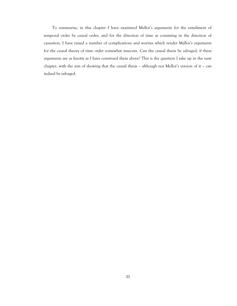To summarise, in this chapter I have examined Mellor's arguments for the entailment of temporal order by causal order, and for the direction of time as consisting in the direction of causation. I have raised a number of complications and worries which render Mellor's arguments for the causal theory of time order somewhat insecure. Can the causal thesis be salvaged, if these arguments are as knotty as I have construed them above? This is the question I take up in the next chapter, with the aim of showing that the causal thesis – although not Mellor's version of it – can indeed be salvaged.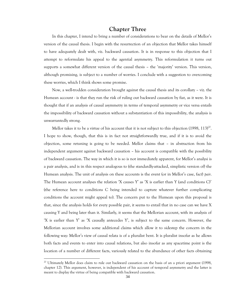## **Chapter Three**

In this chapter, I intend to bring a number of considerations to bear on the details of Mellor's version of the causal thesis. I begin with the resurrection of an objection that Mellor takes himself to have adequately dealt with, viz. backward causation. It is in response to this objection that I attempt to reformulate his appeal to the agential asymmetry. This reformulation it turns out supports a somewhat different version of the causal thesis – the 'majority' version. This version, although promising, is subject to a number of worries. I conclude with a suggestion to overcoming these worries, which I think shows some promise.

Now, a well-trodden consideration brought against the causal thesis and its corollary – viz. the Humean account - is that they run the risk of ruling out backward causation by fiat, as it were. It is thought that if an analysis of causal asymmetry in terms of temporal asymmetry or vice versa entails the impossibility of backward causation without a substantiation of this impossibility, the analysis is unwarrantedly strong.

Mellor takes it to be a virtue of his account that it is not subject to this objection (1998,  $113)^{20}$ . I hope to show, though, that this is in fact not straightforwardly true, and if it is to avoid the objection, some retuning is going to be needed. Mellor claims that – in abstraction from his independent argument against backward causation – his account is compatible with the possibility of backward causation. The way in which it is so is not immediately apparent, for Mellor's analysi is a pair analysis, and is in this respect analogous to (the standardly-attacked, simplistic version of) the Humean analysis. The unit of analysis on these accounts is the event (or in Mellor's case, fact) *pair*. The Humean account analyses the relation  $X$  causes  $Y'$  as  $X$  is earlier than  $Y$  (and conditions C)' (the reference here to conditions C being intended to capture whatever further complicating conditions the account might appeal to). The concern put to the Humean upon this proposal is that, since the analysis holds for every possible pair, it seems to entail that in no case can we have X causing Y and being later than it. Similarly, it seems that the Mellorian account, with its analysis of ‗X is earlier than Y' as ‗X causally antecedes Y', is subject to the same concern. However, the Mellorian account involves some additional claims which allow it to sidestep the concern in the following way: Mellor's view of causal relata is of a pluralist bent. It is pluralist insofar as he allows both facts and events to enter into causal relations, but also insofar as any spacetime point is the location of a number of different facts, variously related to the abundance of other facts obtaining

<sup>&</sup>lt;sup>20</sup> Ultimately Mellor does claim to rule out backward causation on the basis of an a priori argument (1998, chapter 12). This argument, however, is independent of his account of temporal asymmetry and the latter is meant to display the virtue of being compatible with backward causation.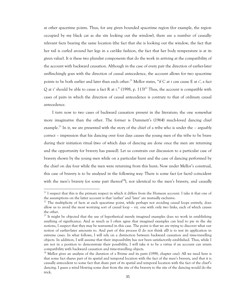at other spacetime points. Thus, for any given bounded spacetime region (for example, the region occupied by my black cat as she sits looking out the window), there are a number of causallyrelevant facts bearing the same location (the fact that she is looking out the window, the fact that her tail is curled around her legs in a cat-like fashion, the fact that her body temperature is at its given value). It is these two pluralist components that do the work in arriving at the compatibility of the account with backward causation. Although in the case of every pair the direction of earlier-later unflinchingly goes with the direction of causal antecedence, the account allows for two spacetime points to be both earlier and later than each other.<sup>21</sup> Mellor states, "if C at *t* can cause E at *t'*, a fact Q at *t'* should be able to cause a fact R at *t*.‖ (1998, p. 113)<sup>22</sup> Thus, the account is compatible with cases of pairs in which the direction of causal antecedence is contrary to that of ordinary causal antecedence.

I turn now to two cases of backward causation present in the literature; the one somewhat more imaginative than the other. The former is Dummett's (1964) much-loved dancing chief example.<sup>23</sup> In it, we are presented with the story of the chief of a tribe who is under the – arguably correct – impression that his dancing over four days causes the young men of the tribe to be brave during their initiation ritual (two of which days of dancing are done once the men are returning and the opportunity for bravery has passed). Let us constrain our discussion to a particular case of bravery shown by the young men while on a particular hunt and the case of dancing performed by the chief on day four while the men were returning from this hunt**.** Now under Mellor's construal, this case of bravery is to be analysed in the following way: There is some fact (or facts) coincident with the men's bravery (or some part thereof<sup>24</sup>), not identical to the men's bravery, and causally

<sup>&</sup>lt;sup>21</sup> I suspect that this is the primary respect in which it differs from the Humean account. I take it that one of the assumptions on the latter account is that 'earlier' and 'later' are mutually exclusive.

 $22$  The multiplicity of facts at each spacetime point, while perhaps not avoiding causal loops entirely, does allow us to avoid the most worrying sort of causal loop – viz. one with only two links, each of which causes the other.

<sup>&</sup>lt;sup>23</sup> It might be objected that the use of hypothetical merely imagined examples does no work in establishing anything of significance. And as much as I often agree that imagined examples can lead to pie in the sky notions, I suspect that they may be warranted in this case. The point is that we are trying to discover what our notion of earlier-later amounts to. And part of this process (I do not think all) is to test its application in extreme cases. In what follows, I will rely on a distinction between backward causation and time-travelling objects. In addition, I will assume that their impossibility has not been satisfactorily established. Thus, while I am not in a position to demonstrate their possibility, I will take it to be a virtue if an account can retain compatibility with backward causation and time-travelling objects.

<sup>&</sup>lt;sup>24</sup> Mellor gives an analysis of the duration of a B-time and its parts (1998, chapter one). All we need here is that some fact shares part of its spatial and temporal location with the fact of the men's bravery, and that it is causally antecedent to some fact that share part of its spatial and temporal location with the fact of the chief's dancing. I guess a wind blowing some dust from the site of the bravery to the site of the dancing would do the trick.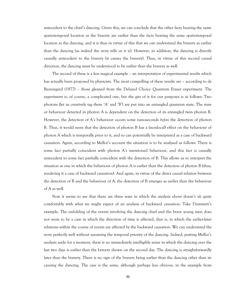antecedent to the chief's dancing. Given this, we can conclude that the other facts bearing the same spatiotemporal location as the bravery are earlier than the facts bearing the same spatiotemporal location as the dancing, and it is thus in virtue of this that we can understand the bravery as earlier than the dancing (as indeed the story tells us it is). However, in addition, the dancing is directly causally antecedent to the bravery (it causes the bravery). Thus, in virtue of this second causal direction, the dancing must be understood to be earlier than the bravery as well.

The second of these is a less magical example – an interpretation of experimental results which has actually been proposed by physicists. The most compelling of these results are – according to de Beauregard (1977) – those gleaned from the Delayed Choice Quantum Eraser experiment. The experiment is, of course, a complicated one, but the gist of it for our purposes is as follows: Two photons (let us creatively tag them 'A' and 'B') are put into an entangled quantum state. The state or behaviour detected in photon A is dependent on the detection of its entangled twin photon B. However, the detection of A's behaviour occurs some nanoseconds *before* the detection of photon B. Thus, it would seem that the detection of photon B has a (nonlocal) effect on the behaviour of photon A which is temporally prior to it, and so can potentially be interpreted as a case of backward causation. Again, according to Mellor's account the situation is to be analysed as follows: There is some fact partially coincident with photon A's mentioned behaviour, and this fact is causally antecedent to some fact partially coincident with the detection of B. This allows us to interpret the situation as one in which the behaviour of photon A is earlier than the detection of photon B (thus, rendering it a case of backward causation). And again, in virtue of the direct causal relation between the detection of B and the behaviour of A, the detection of B emerges as earlier than the behaviour of A as well.

Now it seems to me that there are three ways in which the analysis above doesn't sit quite comfortably with what we might expect of an analysis of backward causation. Take Dummett's example. The unfolding of the events involving the dancing chief and the brave young men does not seem to be a case in which the direction of time is affected, that is, in which the earlier-later relations within the course of events are affected by the backward causation. We can understand the story perfectly well without assuming the temporal priority of the dancing. Indeed, putting Mellor's analysis aside for a moment, there is no immediately intelligible sense in which the dancing over the last two days is earlier than the bravery shown on the second day. The dancing is straightforwardly later than the bravery. There is no sign of the bravery being earlier than the dancing other than its causing the dancing. The case is the same, although perhaps less obvious, in the example from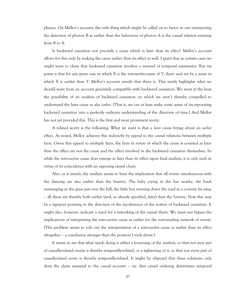physics. On Mellor's account, the only thing which might be called on to factor in our interpreting the detection of photon B as earlier than the behaviour of photon A is the causal relation running from B to A.

Is backward causation not precisely a cause which is later than its effect? Mellor's account allows for this only by making the cause earlier than its effect as well. I grant that in certain cases we might want to claim that backward causation involves a reversal of temporal asymmetry. But my point is that for any given case in which X is the retroactive-cause of Y, there *need not* be a sense in which X is earlier than Y. Mellor's account entails that there is. This surely highlights what we should want from an account genuinely compatible with backward causation. We want at the least the possibility of an analysis of backward causation on which we aren't thereby compelled to understand the later cause as *also earlier*. (That is, we can at least make some sense of incorporating backward causation into a perfectly ordinary understanding of the direction of time.) And Mellor has not yet provided this. This is the first and most prominent worry.

A related worry is the following: What we want is that a *later* cause brings about an *earlier* effect. As noted, Mellor achieves this indirectly by appeal to the causal relations between multiple facts. Given this appeal to multiple facts, the facts in virtue of which the cause is counted as later than the effect are not the cause and the effect involved in the backward causation themselves. So while the retro-active cause does emerge as later than its effect upon final analysis, it is only such in virtue of its coincidence with an opposing causal chain.

Also, as it stands, the analysis seems to have the implication that all events simultaneous with the dancing are also earlier than the bravery. The baby crying in the hut nearby, the buck rummaging in the grass just over the hill, the little boy running down the road in a country far away – all these are thereby both earlier (and, as already specified, later) than the bravery. Now this may be a signpost pointing in the direction of the incoherence of the notion of backward causation. It might also, however, indicate a need for a reworking of the causal thesis. We must not bypass the implications of interpreting the retro-active cause as earlier for the surrounding network of events. (This problem seems to rule out the interpretation of a retro-active cause as earlier than its effect altogether – a conclusion stronger than the position I took above.)

It seems to me that what needs doing is either a loosening of the analysis, so that not *every pair* of causally-related events is thereby temporally-related, or a tightening of it, so that not every pair of *causally-related events* is thereby temporally-related. It might be objected that these solutions only deny the claim essential to the causal account – viz. that causal ordering determines temporal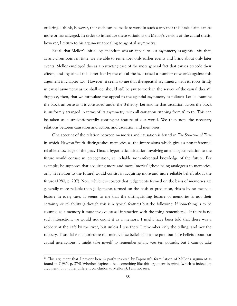ordering. I think, however, that each can be made to work in such a way that this basic claim can be more or less salvaged. In order to introduce these variations on Mellor's version of the causal thesis, however, I return to his argument appealing to agential asymmetry.

Recall that Mellor's initial explanandum was an appeal to our asymmetry as agents – viz. that, at any given point in time, we are able to remember only earlier events and bring about only later events. Mellor employed this as a restricting case of the more general fact that causes precede their effects, and explained this latter fact by the causal thesis. I raised a number of worries against this argument in chapter two. However, it seems to me that the agential asymmetry, with its roots firmly in causal asymmetry as we shall see, should still be put to work in the service of the causal thesis<sup>25</sup>. Suppose, then, that we formulate the appeal to the agential asymmetry as follows: Let us examine the block universe as it is construed under the B-theory. Let assume that causation across the block is uniformly arranged in terms of its asymmetry, with all causation running from t0 to tn. This can be taken as a straightforwardly contingent feature of our world. We then note the necessary relations between causation and action, and causation and memories.

One account of the relation between memories and causation is found in *The Structure of Time* in which Newton-Smith distinguishes memories as the impressions which give us non-inferential reliable knowledge of the past. Thus, a hypothetical situation involving an analogous relation to the future would consist in precognition, i.e. reliable non-inferential knowledge of the future. For example, he supposes that acquiring more and more 'mories' (these being analogous to memories, only in relation to the future) would consist in acquiring more and more reliable beliefs about the future (1980, p. 207). Now, while it is correct that judgements formed on the basis of memories are generally more reliable than judgements formed on the basis of prediction, this is by no means a feature in every case. It seems to me that the distinguishing feature of memories is not their certainty or reliability (although this is a typical feature) but the following: If something is to be counted as a memory it must involve causal interaction with the thing remembered. If there is no such interaction, we would not count it as a memory. I might have been told that there was a robbery at the café by the river, but unless I was there I remember only the telling, and not the robbery. Thus, false memories are not merely false beliefs about the past, but false beliefs about our causal interactions. I might take myself to remember giving you ten pounds, but I cannot take

<sup>&</sup>lt;sup>25</sup> This argument that I present here is partly inspired by Papineau's formulation of Mellor's argument as found in (1985, p. 274) Whether Papineau had something like this argument in mind (which is indeed an argument for a rather different conclusion to Mellor's), I am not sure.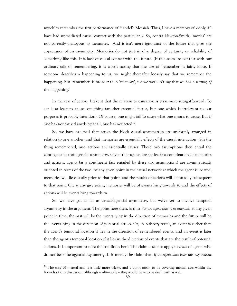myself to remember the first performance of Händel's Messiah. Thus, I have a memory of *x* only if I have had unmediated causal contact with the particular *x*. So, contra Newton-Smith, 'mories' are not correctly analogous to memories. And it isn't mere ignorance of the future that gives the appearance of an asymmetry. Memories do not just involve degree of certainty or reliability of something like this. It is lack of causal contact with the future. (If this seems to conflict with our ordinary talk of remembering, it is worth noting that the use of 'remember' is fairly loose. If someone describes a happening to us, we might thereafter loosely say that we remember the happening. But 'remember' is broader than 'memory', for we wouldn't say that we had a memory of the happening.)

In the case of action, I take it that the relation to causation is even more straightforward. To act is at least to cause something (another essential factor, but one which is irrelevant to our purposes is probably intention). Of course, one might fail to cause what one means to cause. But if one has not caused anything at all, one has not acted<sup>26</sup>.

So, we have assumed that across the block causal asymmetries are uniformly arranged in relation to one another, and that memories are essentially effects of the causal interaction with the thing remembered, and actions are essentially causes. These two assumptions then entail the contingent fact of agential asymmetry. Given that agents are (at least) a combination of memories and actions, agents (as a contingent fact entailed by these two assumptions) are asymmetrically oriented in terms of the two. At any given point in the causal network at which the agent is located, memories will lie causally prior to that point, and the results of actions will lie causally subsequent to that point. Or, at any give point, memories will be of events lying towards t0 and the effects of actions will be events lying towards tn.

So, we have got as far as causal/agential asymmetry, but we've yet to involve temporal asymmetry in the argument. The point here then, is this: *For an agent that is so oriented*, at any given point in time, the past will be the events lying in the direction of memories and the future will be the events lying in the direction of potential action. Or, in B-theory terms, an event is earlier than the agent's temporal location if lies in the direction of remembered events, and an event is later than the agent's temporal location if it lies in the direction of events that are the result of potential actions. It is important to note the condition here. The claim does not apply to cases of agents who do not bear the agential asymmetry. It is merely the claim that, *if an agent does bear this asymmetric* 

 $26$  The case of mental acts is a little more tricky, and I don't mean to be covering mental acts within the bounds of this discussion, although – ultimately – they would have to be dealt with as well.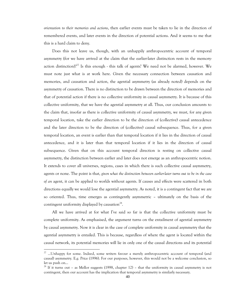*orientation to their memories and actions*, then earlier events must be taken to lie in the direction of remembered events, and later events in the direction of potential actions. And it seems to me that this is a hard claim to deny.

Does this not leave us, though, with an unhappily anthropocentric account of temporal asymmetry (for we have arrived at the claim that the earlier-later distinction rests in the memoryaction distinction)?<sup>27</sup> Is this enough - this talk of agents? We need not be alarmed, however. We must note just what is at work here. Given the necessary connection between causation and memories, and causation and action, the agential asymmetry (as already noted) depends on the asymmetry of causation. There is no distinction to be drawn between the direction of memories and that of potential action if there is no collective uniformity in causal asymmetry. It is because of this collective uniformity, that we have the agential asymmetry at all. Thus, our conclusion amounts to the claim that, insofar as there is collective uniformity of causal asymmetry, we must, for any given temporal location, take the earlier direction to be the direction of (collective) causal antecedence and the later direction to be the direction of (collective) causal subsequence. Thus, for a given temporal location, an event is earlier than that temporal location if it lies in the direction of causal antecedence, and it is later than that temporal location if it lies in the direction of causal subsequence. Given that on this account temporal direction is resting on collective causal asymmetry, the distinction between earlier and later does not emerge as an anthropocentric notion. It extends to cover all universes, regions, cases in which there is such collective causal asymmetry, agents or none. The point is that, *given what the distinction between earlier-later turns out to be in the case of an* agent, it can be applied to worlds without agents. If causes and effects were scattered in both directions equally we would lose the agential asymmetry. As noted, it is a contingent fact that we are so oriented. Thus, time emerges as contingently asymmetric – ultimately on the basis of the contingent uniformity displayed by causation $^{28}$ .

All we have arrived at for what I've said so far is that the collective uniformity must be complete uniformity. As emphasised, the argument turns on the entailment of agential asymmetry by causal asymmetry. Now it is clear in the case of complete uniformity in causal asymmetry that the agential asymmetry is entailed. This is because, regardless of where the agent is located within the causal network, its potential memories will lie in only one of the causal directions and its potential

<sup>&</sup>lt;sup>27</sup> ...Unhappy for some. Indeed, some writers favour a merely anthropocentric account of temporal (and causal) asymmetry. E.g. Price (1996). For our purposes, however, this would not be a welcome conclusion, so let us push on…

<sup>&</sup>lt;sup>28</sup> If it turns out – as Mellor suggests (1998, chapter 12) – that the uniformity in causal asymmetry is not contingent, then our account has the implication that temporal asymmetry is similarly necessary.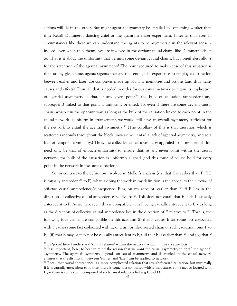actions will lie in the other. But might agential asymmetry be entailed by something weaker than this? Recall Dummett's dancing chief or the quantum eraser experiment. It seems that even in circumstances like these we can understand the agents to be asymmetric in the relevant sense – indeed, even when they themselves are involved in the deviant causal chain, like Dummett's chief. So what is it about the uniformity that permits some deviant causal chains, but nonetheless allows for the retention of the agential asymmetry? The point required to make sense of this situation is that, at any given time, agents (agents that are rich enough in experience to employ a distinction between earlier and later) are complexes made up of many memories and actions (and thus many causes and effects). Thus, all that is needed in order for our causal network to retain its implication of agential asymmetry is that, at any given  $point^{29}$ , the bulk of causation (antecedent and subsequent) linked to that point is uniformly oriented. So, even if there are some deviant causal chains which run the opposite way, as long as the bulk of the causation linked to each point in the causal network is uniform in arrangement, we would still have an overall asymmetry sufficient for the network to entail the agential asymmetry.<sup>30</sup> (The corollary of this is that causation which is scattered randomly throughout the block universe will entail a lack of agential asymmetry, and so a lack of temporal asymmetry.) Thus, the collective causal asymmetry appealed to in my formulation need only be that of enough uniformity to ensure that, at any given point within the causal network, the bulk of the causation is uniformly aligned (and this must of course hold for every point in the network in the same direction).

So, in contrast to the definition involved in Mellor's analysis (viz. that E is earlier than F iff E is causally antecedent<sup>31</sup> to F), what is doing the work in my definition is the appeal to the *direction of collective* causal antecedence/subsequence. E is, on my account, earlier than F iff E lies in the direction of collective causal antecedence relative to F. This does not entail that E itself is causally antecedent to F. As we have seen, this is compatible with F being causally antecedent to  $E -$  as long as the direction of collective causal antecedence lies in the direction of E relative to F. That is, the following four claims are compatible on this account; (i) that F causes E (or some fact co-located with F causes some fact co-located with E, or a uniformly-directed chain of such causation joins F to E), (ii) that E may or may not be causally antecedent to F, (iii) that E is earlier than F, and (iv) that F

 $29$  By 'point' here I understand 'causal relatum' within the network, which in this case are facts.

 $30$  It is important, here, to bear in mind the reason that we want the causal asymmetry to entail the agential asymmetry. The agential asymmetry depends on causal asymmetry, and if entailed by the causal network ensures that the distinction between 'earlier' and 'later' can be applied to network.

 $31$  Recall that causal antecedence is a more complicated relation that straightforward causation, but minimally if E is causally antecedent to F, then there is some fact co-located with E that causes some fact co-located with F (or there is some chain composed of such causal relations linking E and F).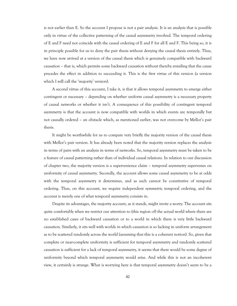is not earlier than E. So the account I propose is not a pair analysis. It is an analysis that is possible only in virtue of the collective patterning of the causal asymmetry involved. The temporal ordering of E and F need not coincide with the causal ordering of E and F for all E and F. This being so, it is in principle possible for us to deny the pair thesis without denying the causal thesis entirely. Thus, we have now arrived at a version of the causal thesis which is genuinely compatible with backward causation – that is, which permits some backward causation without thereby entailing that the cause precedes the effect in addition to succeeding it. This is the first virtue of this version (a version which I will call the 'majority' version).

A second virtue of this account, I take it, is that it allows temporal asymmetry to emerge either contingent or necessary – depending on whether uniform causal asymmetry is a necessary property of causal networks or whether it isn't. A consequence of this possibility of contingent temporal asymmetry is that the account is now compatible with worlds in which events are temporally but not causally ordered – an obstacle which, as mentioned earlier, was not overcome by Mellor's pair thesis.

It might be worthwhile for us to compare very briefly the majority version of the causal thesis with Mellor's pair version. It has already been noted that the majority version replaces the analysis in terms of pairs with an analysis in terms of networks. So, temporal asymmetry must be taken to be a feature of causal patterning rather than of individual causal relations. In relation to our discussion of chapter two, the majority version is a supervenience claim – temporal asymmetry supervenes on uniformity of causal asymmetry. Secondly, the account allows some causal asymmetry to be at odds with the temporal asymmetry it determines, and as such cannot be constitutive of temporal ordering. Thus, on this account, we require independent symmetric temporal ordering, and the account is merely one of what temporal asymmetry consists in.

Despite its advantages, the majority account, as it stands, might invite a worry: The account sits quite comfortably when we restrict our attention to (this region of) the actual world where there are no established cases of backward causation or to a world in which there is very little backward causation. Similarly, it sits well with worlds in which causation is so lacking in uniform arrangement as to be scattered randomly across the world (assuming that this is a coherent notion). So, given that complete or near-complete uniformity is sufficient for temporal asymmetry and randomly scattered causation is sufficient for a lack of temporal asymmetry, it seems that there would be some degree of uniformity beyond which temporal asymmetry would arise. And while this is not an incoherent view, it certainly is strange. What is worrying here is that temporal asymmetry doesn't seem to be a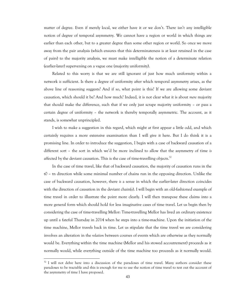matter of degree. Even if merely local, we either have it or we don't. There isn't any intelligible notion of degree of temporal asymmetry. We cannot have a region or world in which things are earlier than each other, but to a greater degree than some other region or world. So once we move away from the pair analysis (which ensures that this determinateness is at least retained in the case of pairs) to the majority analysis, we must make intelligible the notion of a determinate relation (earlier-later) supervening on a vague one (majority uniformity).

Related to this worry is that we are still ignorant of just how much uniformity within a network *is* sufficient. Is there a degree of uniformity after which temporal asymmetry arises, as the above line of reasoning suggests? And if so, what point is this? If we are allowing some deviant causation, which should it be? And how much? Indeed, it is not clear what it is about *mere* majority that should make the difference, such that if we only just scrape majority uniformity – or pass a certain degree of uniformity – the network is thereby temporally asymmetric. The account, as it stands, is somewhat unprincipled.

I wish to make a suggestion in this regard, which might at first appear a little odd, and which certainly requires a more extensive examination than I will give it here. But I do think it is a promising line. In order to introduce the suggestion, I begin with a case of backward causation of a different sort – the sort in which we'd be more inclined to allow that the asymmetry of time *is* affected by the deviant causation. This is the case of time-travelling objects. $32$ 

In the case of time travel, like that of backward causation, the majority of causation runs in the t0 – tn direction while some minimal number of chains run in the opposing direction. Unlike the case of backward causation, however, there *is* a sense in which the earlier-later direction coincides with the direction of causation in the deviant chain(s). I will begin with an old-fashioned example of time travel in order to illustrate the point more clearly. I will then transpose these claims into a more general form which should hold for less imaginative cases of time travel. Let us begin then by considering the case of time-travelling Mellor: Time-travelling Mellor has lived an ordinary existence up until a fateful Thursday in 2014 when he steps into a time-machine. Upon the initiation of the time machine, Mellor travels back in time. Let us stipulate that the time travel we are considering involves an alteration in the *relation* between courses of events which are otherwise as they normally would be. Everything within the time machine (Mellor and his stowed accoutrement) proceeds as it normally would, while everything outside of the time machine too proceeds as it normally would.

<sup>&</sup>lt;sup>32</sup> I will not delve here into a discussion of the paradoxes of time travel. Many authors consider these paradoxes to be tractable and this is enough for me to use the notion of time travel to test out the account of the asymmetry of time I have proposed.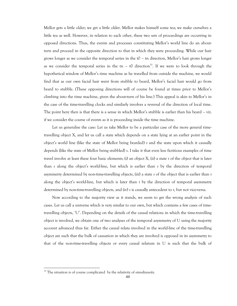Mellor gets a little older; we get a little older. Mellor makes himself some tea; we make ourselves a little tea as well. However, in relation to each other, these two sets of proceedings are occurring in opposed directions. Thus, the events and processes constituting Mellor's world line do an aboutturn and proceed in the opposite direction to that in which they were proceeding. While our hair grows longer as we consider the temporal series in the t0 – tn direction, Mellor's hair grows longer as we consider the temporal series in the tn – t0 direction<sup>33</sup>. If we were to look through the hypothetical window of Mellor's time machine as he travelled from outside the machine, we would find that as our own facial hair went from stubble to beard, Mellor's facial hair would go from beard to stubble. (These opposing directions will of course be found at times prior to Mellor's climbing into the time machine, given the about-turn of his line.) This appeal is akin to Mellor's in the case of the time-travelling clocks and similarly involves a reversal of the direction of local time. The point here then is that there is a sense in which Mellor's stubble is earlier than his beard – viz. if we consider the course of events as it is proceeding inside the time machine.

Let us generalise the case: Let us take Mellor to be a particular case of the more general timetravelling object X, and let us call a state which depends on a state lying at an earlier point in the object's world line (like the state of Mellor being bearded) *t* and the state upon which it causally depends (like the state of Mellor being stubbled) *s*. I take it that even less fictitious examples of time travel involve at least these four basic elements; (i) an object X, (ii) a state *t* of the object that is later than *s* along the object's world-line, but which is earlier than *s* by the direction of temporal asymmetry determined by non-time-travelling objects, (iii) a state *s* of the object that is earlier than *t* along the object's world-line, but which is later than *t* by the direction of temporal asymmetry determined by non-time-travelling objects, and (iv) *s* is causally antecedent to *t*, but not vice-versa.

Now according to the majority view as it stands, we seem to get the wrong analysis of such cases. Let us call a universe which is very similar to our own, but which contains a few cases of timetravelling objects, ‗U'. Depending on the details of the causal relations in which the time-travelling object is involved, we obtain one of two analyses of the temporal asymmetry of U using the majority account advanced thus far. Either the causal relata involved in the world-line of the time-travelling object are such that the bulk of causation in which they are involved is opposed in its asymmetry to that of the non-time-travelling objects or every causal relatum in U is such that the bulk of

<sup>&</sup>lt;sup>33</sup> The situation is of course complicated by the relativity of simultaneity.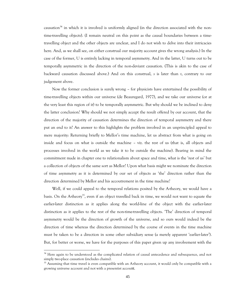causation<sup>34</sup> in which it is involved is uniformly aligned (in the direction associated with the nontime-travelling objects). (I remain neutral on this point as the causal boundaries between a timetravelling object and the other objects are unclear, and I do not wish to delve into their intricacies here. And, as we shall see, on either construal our majority account gives the wrong analysis.) In the case of the former, U is entirely lacking in temporal asymmetry. And in the latter, U turns out to be temporally asymmetric in the direction of the non-deviant causation. (This is akin to the case of backward causation discussed above.) And on this construal, *s* is later than *t*, contrary to our judgement above.

Now the former conclusion is surely wrong – for physicists have entertained the possibility of time-travelling objects within our universe (de Beauregard, 1977), and we take our universe (or at the very least this region of it) to be temporally asymmetric. But why should we be inclined to deny the latter conclusion? Why should we not simply accept the result offered by our account, that the direction of the majority of causation determines the direction of temporal asymmetry and there put an end to it? An answer to this highlights the problem involved in an unprincipled appeal to mere majority: Returning briefly to Mellor's time machine, let us abstract from what is going on inside and focus on what is outside the machine – viz. the rest of us (that is, all objects and processes involved in the world as we take it to be outside the machine). Bearing in mind the commitment made in chapter one to relationalism about space and time, what is the ‗rest of us' but a collection of objects of the same sort as Mellor? Upon what basis might we nominate the direction of time asymmetry as it is determined by our set of objects as ‗the' direction rather than the direction determined by Mellor and his accoutrement in the time machine?

Well, if we could appeal to the temporal relations posited by the A-theory, we would have a basis. On the A-theory<sup>35</sup>, even if an object travelled back in time, we would not want to equate the earlier-later distinction as it applies along the world-line of the object with the earlier-later distinction as it applies to the rest of the non-time-travelling objects. ‗The' direction of temporal asymmetry would be the direction of growth of the universe, and so ours would indeed be the direction of time whereas the direction determined by the course of events in the time machine must be taken to be a direction in some other subsidiary sense (a merely apparent 'earlier-later'). But, for better or worse, we have for the purposes of this paper given up any involvement with the

<sup>&</sup>lt;sup>34</sup> Here again to be understood as the complicated relation of causal antecedence and subsequence, and not simply two-place causation (includes chains).

<sup>&</sup>lt;sup>35</sup> Assuming that time travel is even compatible with an A-theory account, it would only be compatible with a growing universe account and not with a presentist account.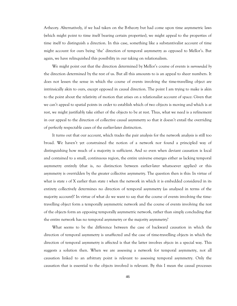A-theory. Alternatively, if we had taken on the B-theory but had come upon time asymmetric laws (which might point to time itself bearing certain properties), we might appeal to the properties of time itself to distinguish a direction. In this case, something like a substantivalist account of time might account for ours being 'the' direction of temporal asymmetry as opposed to Mellor's. But again, we have relinquished this possibility in our taking on relationalism.

We might point out that the direction determined by Mellor's course of events is *surrounded by* the direction determined by the rest of us. But all this amounts to is an appeal to sheer numbers. It does not lessen the sense in which the course of events involving the time-travelling object are intrinsically akin to ours, except opposed in causal direction. The point I am trying to make is akin to the point about the relativity of motion that arises on a relationalist account of space: Given that we can't appeal to spatial points in order to establish which of two objects is moving and which is at rest, we might justifiably take either of the objects to be at rest. Thus, what we need is a refinement in our appeal to the direction of collective causal asymmetry so that it doesn't entail the overriding of perfectly respectable cases of the earlier-later distinction.

It turns out that our account, which trades the pair analysis for the network analysis is still too broad. We haven't yet constrained the notion of a network nor found a principled way of distinguishing how much of a majority is sufficient. And so even when deviant causation is local and contained to a small, continuous region, the entire universe emerges either as lacking temporal asymmetry entirely (that is, no distinction between earlier-later whatsoever applies) or this asymmetry is overridden by the greater collective asymmetry. The question then is this: In virtue of what is state *s* of X earlier than state *t* when the network in which it is embedded considered in its entirety collectively determines no direction of temporal asymmetry (as analysed in terms of the majority account)? In virtue of what do we want to say that the course of events involving the timetravelling object form a temporally asymmetric network and the course of events involving the rest of the objects form an opposing temporally asymmetric network, rather than simply concluding that the entire network has no temporal asymmetry or the majority asymmetry?

What seems to be the difference between the case of backward causation in which the direction of temporal asymmetry is unaffected and the case of time-travelling objects in which the direction of temporal asymmetry is affected is that the latter involves *objects* in a special way. This suggests a solution then. When we are assessing a network for temporal asymmetry, not all causation linked to an arbitrary point is relevant to assessing temporal asymmetry. Only the causation that is essential to the objects involved is relevant. By this I mean the causal processes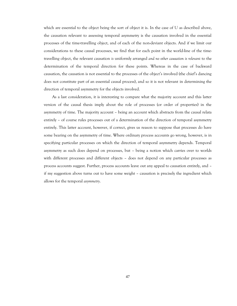which are essential to the object being the sort of object it is. In the case of U as described above, the causation relevant to assessing temporal asymmetry is the causation involved in the essential processes of the time-travelling object, and of each of the non-deviant objects. And if we limit our considerations to these causal processes, we find that for each point in the world-line of the timetravelling object, the relevant causation *is* uniformly arranged *and no other causation is relevant* to the determination of the temporal direction for these points. Whereas in the case of backward causation, the causation is not essential to the processes of the object's involved (the chief's dancing does not constitute part of an essential causal process), and so it is not relevant in determining the direction of temporal asymmetry for the objects involved.

As a last consideration, it is interesting to compare what the majority account and this latter version of the causal thesis imply about the role of processes (or order of properties) in the asymmetry of time. The majority account – being an account which abstracts from the causal relata entirely – of course rules processes out of a determination of the direction of temporal asymmetry entirely. This latter account, however, if correct, gives us reason to suppose that processes do have some bearing on the asymmetry of time. Where ordinary process accounts go wrong, however, is in specifying particular processes on which the direction of temporal asymmetry depends. Temporal asymmetry as such does depend on processes, but – being a notion which carries over to worlds with different processes and different objects – does not depend on any particular processes as process accounts suggest. Further, process accounts leave out any appeal to causation entirely, and – if my suggestion above turns out to have some weight – causation is precisely the ingredient which allows for the temporal *asymmetry*.